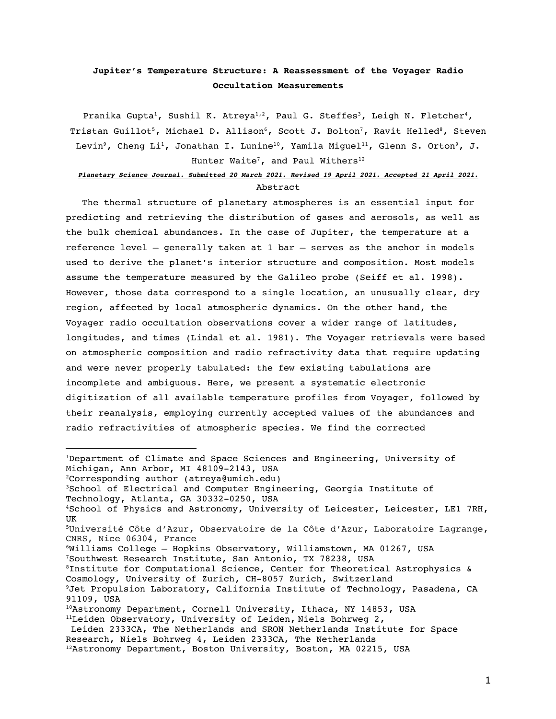# **Jupiter's Temperature Structure: A Reassessment of the Voyager Radio Occultation Measurements**

Pranika Gupta<sup>1</sup>, Sushil K. Atreya<sup>1,2</sup>, Paul G. Steffes<sup>3</sup>, Leigh N. Fletcher<sup>4</sup>, Tristan Guillot<sup>5</sup>, Michael D. Allison<sup>6</sup>, Scott J. Bolton<sup>7</sup>, Ravit Helled<sup>8</sup>, Steven Levin<sup>9</sup>, Cheng Li<sup>1</sup>, Jonathan I. Lunine<sup>10</sup>, Yamila Miguel<sup>11</sup>, Glenn S. Orton<sup>9</sup>, J. Hunter Waite<sup>7</sup>, and Paul Withers<sup>12</sup>

# *Planetary Science Journal. Submitted 20 March 2021. Revised 19 April 2021. Accepted 21 April 2021.* Abstract

The thermal structure of planetary atmospheres is an essential input for predicting and retrieving the distribution of gases and aerosols, as well as the bulk chemical abundances. In the case of Jupiter, the temperature at a reference level – generally taken at 1 bar – serves as the anchor in models used to derive the planet's interior structure and composition. Most models assume the temperature measured by the Galileo probe (Seiff et al. 1998). However, those data correspond to a single location, an unusually clear, dry region, affected by local atmospheric dynamics. On the other hand, the Voyager radio occultation observations cover a wider range of latitudes, longitudes, and times (Lindal et al. 1981). The Voyager retrievals were based on atmospheric composition and radio refractivity data that require updating and were never properly tabulated: the few existing tabulations are incomplete and ambiguous. Here, we present a systematic electronic digitization of all available temperature profiles from Voyager, followed by their reanalysis, employing currently accepted values of the abundances and radio refractivities of atmospheric species. We find the corrected

- 6Williams College Hopkins Observatory, Williamstown, MA 01267, USA 7Southwest Research Institute, San Antonio, TX 78238, USA
- 8Institute for Computational Science, Center for Theoretical Astrophysics & Cosmology, University of Zurich, CH-8057 Zurich, Switzerland

<sup>1</sup>Department of Climate and Space Sciences and Engineering, University of Michigan, Ann Arbor, MI 48109-2143, USA

<sup>2</sup>Corresponding author (atreya@umich.edu)

<sup>3</sup>School of Electrical and Computer Engineering, Georgia Institute of Technology, Atlanta, GA 30332-0250, USA

<sup>4</sup>School of Physics and Astronomy, University of Leicester, Leicester, LE1 7RH, UK

<sup>5</sup>Université Côte d'Azur, Observatoire de la Côte d'Azur, Laboratoire Lagrange, CNRS, Nice 06304, France

<sup>&</sup>lt;sup>9</sup>Jet Propulsion Laboratory, California Institute of Technology, Pasadena, CA 91109, USA

<sup>10</sup>Astronomy Department, Cornell University, Ithaca, NY 14853, USA

<sup>&</sup>lt;sup>11</sup>Leiden Observatory, University of Leiden, Niels Bohrweg 2,

Leiden 2333CA, The Netherlands and SRON Netherlands Institute for Space Research, Niels Bohrweg 4, Leiden 2333CA, The Netherlands

<sup>12</sup>Astronomy Department, Boston University, Boston, MA 02215, USA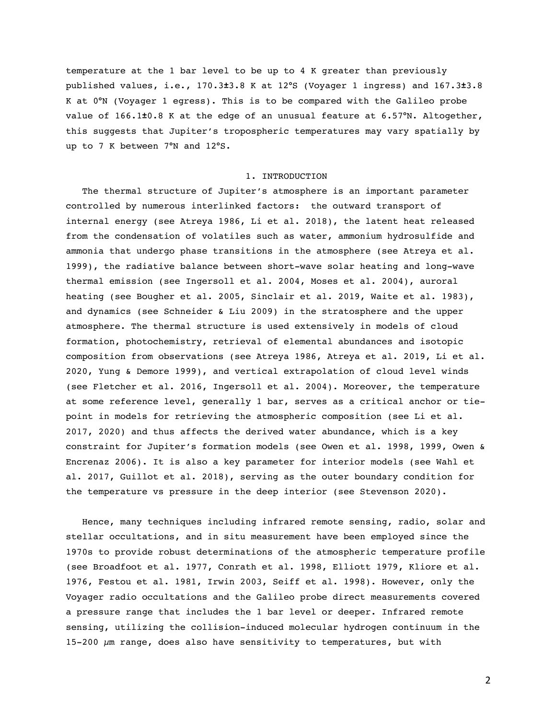temperature at the 1 bar level to be up to 4 K greater than previously published values, i.e., 170.3**±**3.8 K at 12°S (Voyager 1 ingress) and 167.3**±**3.8 K at 0°N (Voyager 1 egress). This is to be compared with the Galileo probe value of 166.1**±**0.8 K at the edge of an unusual feature at 6.57°N. Altogether, this suggests that Jupiter's tropospheric temperatures may vary spatially by up to 7 K between 7°N and 12°S.

#### 1. INTRODUCTION

The thermal structure of Jupiter's atmosphere is an important parameter controlled by numerous interlinked factors: the outward transport of internal energy (see Atreya 1986, Li et al. 2018), the latent heat released from the condensation of volatiles such as water, ammonium hydrosulfide and ammonia that undergo phase transitions in the atmosphere (see Atreya et al. 1999), the radiative balance between short-wave solar heating and long-wave thermal emission (see Ingersoll et al. 2004, Moses et al. 2004), auroral heating (see Bougher et al. 2005, Sinclair et al. 2019, Waite et al. 1983), and dynamics (see Schneider & Liu 2009) in the stratosphere and the upper atmosphere. The thermal structure is used extensively in models of cloud formation, photochemistry, retrieval of elemental abundances and isotopic composition from observations (see Atreya 1986, Atreya et al. 2019, Li et al. 2020, Yung & Demore 1999), and vertical extrapolation of cloud level winds (see Fletcher et al. 2016, Ingersoll et al. 2004). Moreover, the temperature at some reference level, generally 1 bar, serves as a critical anchor or tiepoint in models for retrieving the atmospheric composition (see Li et al. 2017, 2020) and thus affects the derived water abundance, which is a key constraint for Jupiter's formation models (see Owen et al. 1998, 1999, Owen & Encrenaz 2006). It is also a key parameter for interior models (see Wahl et al. 2017, Guillot et al. 2018), serving as the outer boundary condition for the temperature vs pressure in the deep interior (see Stevenson 2020).

Hence, many techniques including infrared remote sensing, radio, solar and stellar occultations, and in situ measurement have been employed since the 1970s to provide robust determinations of the atmospheric temperature profile (see Broadfoot et al. 1977, Conrath et al. 1998, Elliott 1979, Kliore et al. 1976, Festou et al. 1981, Irwin 2003, Seiff et al. 1998). However, only the Voyager radio occultations and the Galileo probe direct measurements covered a pressure range that includes the 1 bar level or deeper. Infrared remote sensing, utilizing the collision-induced molecular hydrogen continuum in the  $15-200 \mu m$  range, does also have sensitivity to temperatures, but with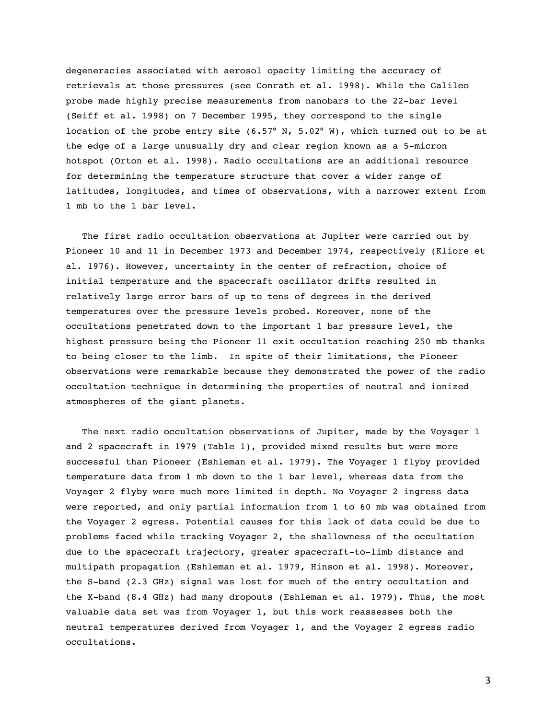degeneracies associated with aerosol opacity limiting the accuracy of retrievals at those pressures (see Conrath et al. 1998). While the Galileo probe made highly precise measurements from nanobars to the 22-bar level (Seiff et al. 1998) on 7 December 1995, they correspond to the single location of the probe entry site (6.57° N, 5.02° W), which turned out to be at the edge of a large unusually dry and clear region known as a 5-micron hotspot (Orton et al. 1998). Radio occultations are an additional resource for determining the temperature structure that cover a wider range of latitudes, longitudes, and times of observations, with a narrower extent from 1 mb to the 1 bar level.

The first radio occultation observations at Jupiter were carried out by Pioneer 10 and 11 in December 1973 and December 1974, respectively (Kliore et al. 1976). However, uncertainty in the center of refraction, choice of initial temperature and the spacecraft oscillator drifts resulted in relatively large error bars of up to tens of degrees in the derived temperatures over the pressure levels probed. Moreover, none of the occultations penetrated down to the important 1 bar pressure level, the highest pressure being the Pioneer 11 exit occultation reaching 250 mb thanks to being closer to the limb. In spite of their limitations, the Pioneer observations were remarkable because they demonstrated the power of the radio occultation technique in determining the properties of neutral and ionized atmospheres of the giant planets.

The next radio occultation observations of Jupiter, made by the Voyager 1 and 2 spacecraft in 1979 (Table 1), provided mixed results but were more successful than Pioneer (Eshleman et al. 1979). The Voyager 1 flyby provided temperature data from 1 mb down to the 1 bar level, whereas data from the Voyager 2 flyby were much more limited in depth. No Voyager 2 ingress data were reported, and only partial information from 1 to 60 mb was obtained from the Voyager 2 egress. Potential causes for this lack of data could be due to problems faced while tracking Voyager 2, the shallowness of the occultation due to the spacecraft trajectory, greater spacecraft-to-limb distance and multipath propagation (Eshleman et al. 1979, Hinson et al. 1998). Moreover, the S-band (2.3 GHz) signal was lost for much of the entry occultation and the X-band (8.4 GHz) had many dropouts (Eshleman et al. 1979). Thus, the most valuable data set was from Voyager 1, but this work reassesses both the neutral temperatures derived from Voyager 1, and the Voyager 2 egress radio occultations.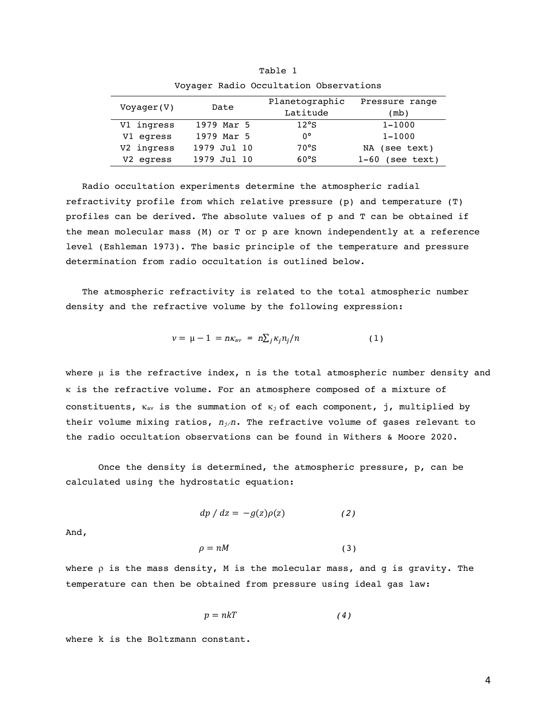| Voyager(V) | Date        | Planetographic | Pressure range    |  |
|------------|-------------|----------------|-------------------|--|
|            |             | Latitude       | (mb)              |  |
| V1 ingress | 1979 Mar 5  | 12°S           | $1 - 1000$        |  |
| V1 egress  | 1979 Mar 5  | $0^{\circ}$    | $1 - 1000$        |  |
| V2 ingress | 1979 Jul 10 | $70^{\circ}$ S | NA (see text)     |  |
| V2 egress  | 1979 Jul 10 | 60°S           | $1-60$ (see text) |  |

Table 1 Voyager Radio Occultation Observations

Radio occultation experiments determine the atmospheric radial refractivity profile from which relative pressure (p) and temperature (T) profiles can be derived. The absolute values of p and T can be obtained if the mean molecular mass (M) or T or p are known independently at a reference level (Eshleman 1973). The basic principle of the temperature and pressure determination from radio occultation is outlined below.

The atmospheric refractivity is related to the total atmospheric number density and the refractive volume by the following expression:

$$
\nu = \mu - 1 = n\kappa_{av} = n\sum_j \kappa_j n_j / n \qquad (1)
$$

where  $\mu$  is the refractive index, n is the total atmospheric number density and k is the refractive volume. For an atmosphere composed of a mixture of constituents,  $\kappa_{av}$  is the summation of  $\kappa_j$  of each component, j, multiplied by their volume mixing ratios, *nj/n*. The refractive volume of gases relevant to the radio occultation observations can be found in Withers & Moore 2020.

Once the density is determined, the atmospheric pressure, p, can be calculated using the hydrostatic equation:

$$
dp / dz = -g(z)\rho(z) \qquad (2)
$$

And,

$$
\rho = nM \tag{3}
$$

where  $\rho$  is the mass density, M is the molecular mass, and g is gravity. The temperature can then be obtained from pressure using ideal gas law:

$$
p = nkT \tag{4}
$$

where k is the Boltzmann constant.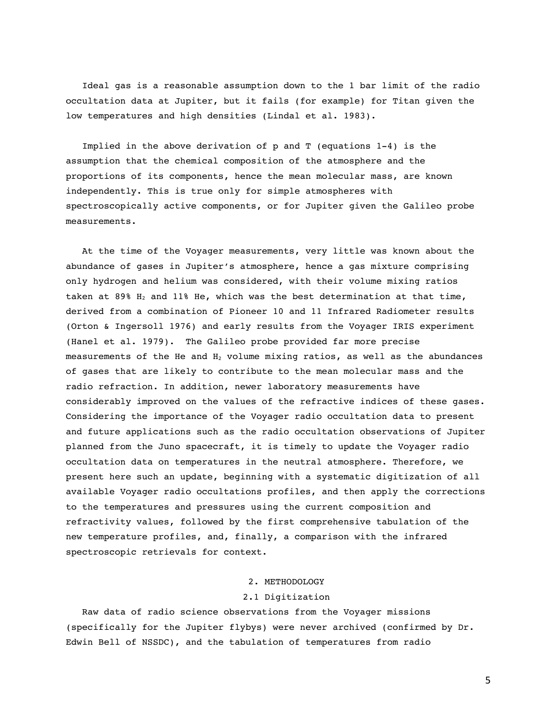Ideal gas is a reasonable assumption down to the 1 bar limit of the radio occultation data at Jupiter, but it fails (for example) for Titan given the low temperatures and high densities (Lindal et al. 1983).

Implied in the above derivation of  $p$  and  $T$  (equations  $1-4$ ) is the assumption that the chemical composition of the atmosphere and the proportions of its components, hence the mean molecular mass, are known independently. This is true only for simple atmospheres with spectroscopically active components, or for Jupiter given the Galileo probe measurements.

At the time of the Voyager measurements, very little was known about the abundance of gases in Jupiter's atmosphere, hence a gas mixture comprising only hydrogen and helium was considered, with their volume mixing ratios taken at 89%  $H_2$  and 11% He, which was the best determination at that time, derived from a combination of Pioneer 10 and 11 Infrared Radiometer results (Orton & Ingersoll 1976) and early results from the Voyager IRIS experiment (Hanel et al. 1979). The Galileo probe provided far more precise measurements of the He and  $H_2$  volume mixing ratios, as well as the abundances of gases that are likely to contribute to the mean molecular mass and the radio refraction. In addition, newer laboratory measurements have considerably improved on the values of the refractive indices of these gases. Considering the importance of the Voyager radio occultation data to present and future applications such as the radio occultation observations of Jupiter planned from the Juno spacecraft, it is timely to update the Voyager radio occultation data on temperatures in the neutral atmosphere. Therefore, we present here such an update, beginning with a systematic digitization of all available Voyager radio occultations profiles, and then apply the corrections to the temperatures and pressures using the current composition and refractivity values, followed by the first comprehensive tabulation of the new temperature profiles, and, finally, a comparison with the infrared spectroscopic retrievals for context.

# 2. METHODOLOGY

# 2.1 Digitization

Raw data of radio science observations from the Voyager missions (specifically for the Jupiter flybys) were never archived (confirmed by Dr. Edwin Bell of NSSDC), and the tabulation of temperatures from radio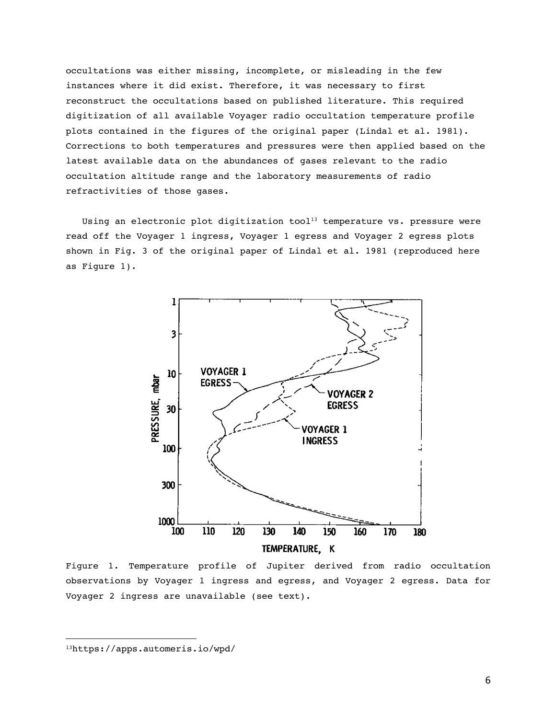occultations was either missing, incomplete, or misleading in the few instances where it did exist. Therefore, it was necessary to first reconstruct the occultations based on published literature. This required digitization of all available Voyager radio occultation temperature profile plots contained in the figures of the original paper (Lindal et al. 1981). Corrections to both temperatures and pressures were then applied based on the latest available data on the abundances of gases relevant to the radio occultation altitude range and the laboratory measurements of radio refractivities of those gases.

Using an electronic plot digitization tool<sup>13</sup> temperature vs. pressure were read off the Voyager 1 ingress, Voyager 1 egress and Voyager 2 egress plots shown in Fig. 3 of the original paper of Lindal et al. 1981 (reproduced here as Figure 1).



Figure 1. Temperature profile of Jupiter derived from radio occultation observations by Voyager 1 ingress and egress, and Voyager 2 egress. Data for Voyager 2 ingress are unavailable (see text).

<sup>13</sup>https://apps.automeris.io/wpd/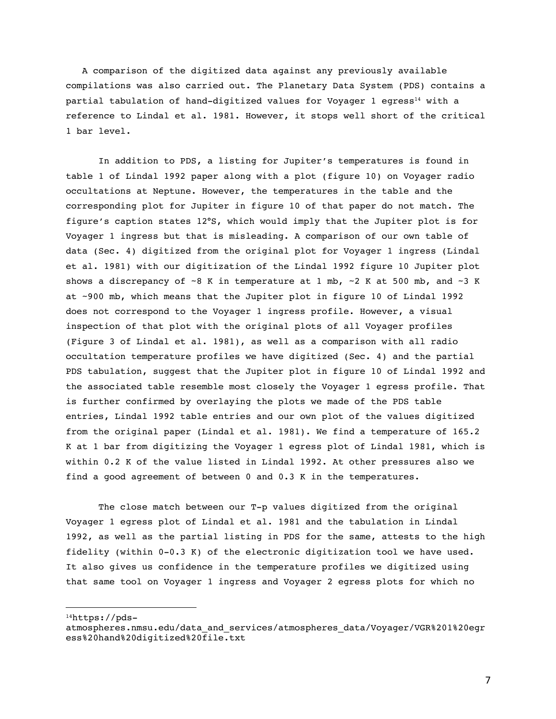A comparison of the digitized data against any previously available compilations was also carried out. The Planetary Data System (PDS) contains a partial tabulation of hand-digitized values for Voyager 1 egress<sup>14</sup> with a reference to Lindal et al. 1981. However, it stops well short of the critical 1 bar level.

In addition to PDS, a listing for Jupiter's temperatures is found in table 1 of Lindal 1992 paper along with a plot (figure 10) on Voyager radio occultations at Neptune. However, the temperatures in the table and the corresponding plot for Jupiter in figure 10 of that paper do not match. The figure's caption states 12°S, which would imply that the Jupiter plot is for Voyager 1 ingress but that is misleading. A comparison of our own table of data (Sec. 4) digitized from the original plot for Voyager 1 ingress (Lindal et al. 1981) with our digitization of the Lindal 1992 figure 10 Jupiter plot shows a discrepancy of  $\sim$ 8 K in temperature at 1 mb,  $\sim$ 2 K at 500 mb, and  $\sim$ 3 K at ~900 mb, which means that the Jupiter plot in figure 10 of Lindal 1992 does not correspond to the Voyager 1 ingress profile. However, a visual inspection of that plot with the original plots of all Voyager profiles (Figure 3 of Lindal et al. 1981), as well as a comparison with all radio occultation temperature profiles we have digitized (Sec. 4) and the partial PDS tabulation, suggest that the Jupiter plot in figure 10 of Lindal 1992 and the associated table resemble most closely the Voyager 1 egress profile. That is further confirmed by overlaying the plots we made of the PDS table entries, Lindal 1992 table entries and our own plot of the values digitized from the original paper (Lindal et al. 1981). We find a temperature of 165.2 K at 1 bar from digitizing the Voyager 1 egress plot of Lindal 1981, which is within 0.2 K of the value listed in Lindal 1992. At other pressures also we find a good agreement of between 0 and 0.3 K in the temperatures.

The close match between our T-p values digitized from the original Voyager 1 egress plot of Lindal et al. 1981 and the tabulation in Lindal 1992, as well as the partial listing in PDS for the same, attests to the high fidelity (within 0-0.3 K) of the electronic digitization tool we have used. It also gives us confidence in the temperature profiles we digitized using that same tool on Voyager 1 ingress and Voyager 2 egress plots for which no

14https://pds-

atmospheres.nmsu.edu/data\_and\_services/atmospheres\_data/Voyager/VGR%201%20egr ess%20hand%20digitized%20file.txt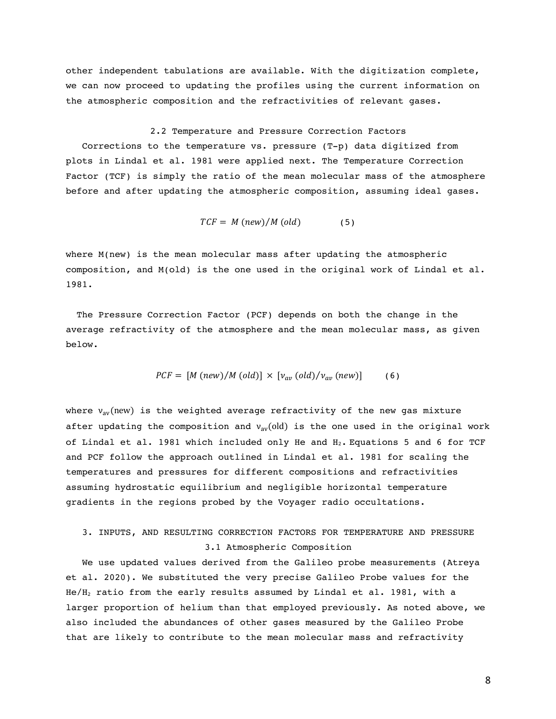other independent tabulations are available. With the digitization complete, we can now proceed to updating the profiles using the current information on the atmospheric composition and the refractivities of relevant gases.

#### 2.2 Temperature and Pressure Correction Factors

Corrections to the temperature vs. pressure (T-p) data digitized from plots in Lindal et al. 1981 were applied next. The Temperature Correction Factor (TCF) is simply the ratio of the mean molecular mass of the atmosphere before and after updating the atmospheric composition, assuming ideal gases.

$$
TCF = M(new)/M (old)
$$
 (5)

where M(new) is the mean molecular mass after updating the atmospheric composition, and M(old) is the one used in the original work of Lindal et al. 1981.

 The Pressure Correction Factor (PCF) depends on both the change in the average refractivity of the atmosphere and the mean molecular mass, as given below.

$$
PCF = [M(new)/M (old)] \times [v_{av} (old)/v_{av} (new)] \qquad (6)
$$

where  $v_{av}(new)$  is the weighted average refractivity of the new gas mixture after updating the composition and  $v_{av}(old)$  is the one used in the original work of Lindal et al. 1981 which included only He and  $H_2$ . Equations 5 and 6 for TCF and PCF follow the approach outlined in Lindal et al. 1981 for scaling the temperatures and pressures for different compositions and refractivities assuming hydrostatic equilibrium and negligible horizontal temperature gradients in the regions probed by the Voyager radio occultations.

# 3. INPUTS, AND RESULTING CORRECTION FACTORS FOR TEMPERATURE AND PRESSURE 3.1 Atmospheric Composition

We use updated values derived from the Galileo probe measurements (Atreya et al. 2020). We substituted the very precise Galileo Probe values for the He/H2 ratio from the early results assumed by Lindal et al. 1981, with a larger proportion of helium than that employed previously. As noted above, we also included the abundances of other gases measured by the Galileo Probe that are likely to contribute to the mean molecular mass and refractivity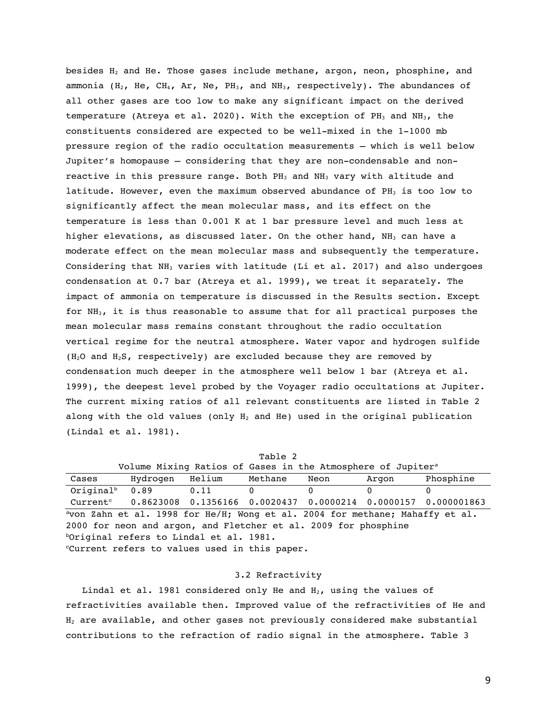besides  $H_2$  and He. Those gases include methane, argon, neon, phosphine, and ammonia ( $H_2$ , He, CH<sub>4</sub>, Ar, Ne, PH<sub>3</sub>, and NH<sub>3</sub>, respectively). The abundances of all other gases are too low to make any significant impact on the derived temperature (Atreya et al. 2020). With the exception of  $PH_3$  and  $NH_3$ , the constituents considered are expected to be well-mixed in the 1-1000 mb pressure region of the radio occultation measurements — which is well below Jupiter's homopause — considering that they are non-condensable and nonreactive in this pressure range. Both  $PH_3$  and  $NH_3$  vary with altitude and latitude. However, even the maximum observed abundance of  $PH_3$  is too low to significantly affect the mean molecular mass, and its effect on the temperature is less than 0.001 K at 1 bar pressure level and much less at higher elevations, as discussed later. On the other hand,  $NH<sub>3</sub>$  can have a moderate effect on the mean molecular mass and subsequently the temperature. Considering that  $NH_3$  varies with latitude (Li et al. 2017) and also undergoes condensation at 0.7 bar (Atreya et al. 1999), we treat it separately. The impact of ammonia on temperature is discussed in the Results section. Except for NH3, it is thus reasonable to assume that for all practical purposes the mean molecular mass remains constant throughout the radio occultation vertical regime for the neutral atmosphere. Water vapor and hydrogen sulfide ( $H_2O$  and  $H_2S$ , respectively) are excluded because they are removed by condensation much deeper in the atmosphere well below 1 bar (Atreya et al. 1999), the deepest level probed by the Voyager radio occultations at Jupiter. The current mixing ratios of all relevant constituents are listed in Table 2 along with the old values (only  $H_2$  and He) used in the original publication (Lindal et al. 1981).

| Table 2                                                                      |                                                                         |        |          |      |       |                                                                 |  |  |  |
|------------------------------------------------------------------------------|-------------------------------------------------------------------------|--------|----------|------|-------|-----------------------------------------------------------------|--|--|--|
|                                                                              | Volume Mixing Ratios of Gases in the Atmosphere of Jupiter <sup>a</sup> |        |          |      |       |                                                                 |  |  |  |
| Cases                                                                        | Hydrogen                                                                | Helium | Methane  | Neon | Argon | Phosphine                                                       |  |  |  |
| Original <sup>b</sup> $0.89$                                                 |                                                                         | 0.11   | $\Omega$ | 0    | 0     | 0                                                               |  |  |  |
| Current <sup>c</sup>                                                         |                                                                         |        |          |      |       | $0.8623008$ 0.1356166 0.0020437 0.0000214 0.0000157 0.000001863 |  |  |  |
| "von Zahn et al. 1998 for He/H; Wong et al. 2004 for methane; Mahaffy et al. |                                                                         |        |          |      |       |                                                                 |  |  |  |
| 2000 for neon and argon, and Fletcher et al. 2009 for phosphine              |                                                                         |        |          |      |       |                                                                 |  |  |  |
| boriginal refers to Lindal et al. 1981.                                      |                                                                         |        |          |      |       |                                                                 |  |  |  |
| "Current refers to values used in this paper.                                |                                                                         |        |          |      |       |                                                                 |  |  |  |

# 3.2 Refractivity

Lindal et al. 1981 considered only He and  $H_2$ , using the values of refractivities available then. Improved value of the refractivities of He and  $H<sub>2</sub>$  are available, and other gases not previously considered make substantial contributions to the refraction of radio signal in the atmosphere. Table 3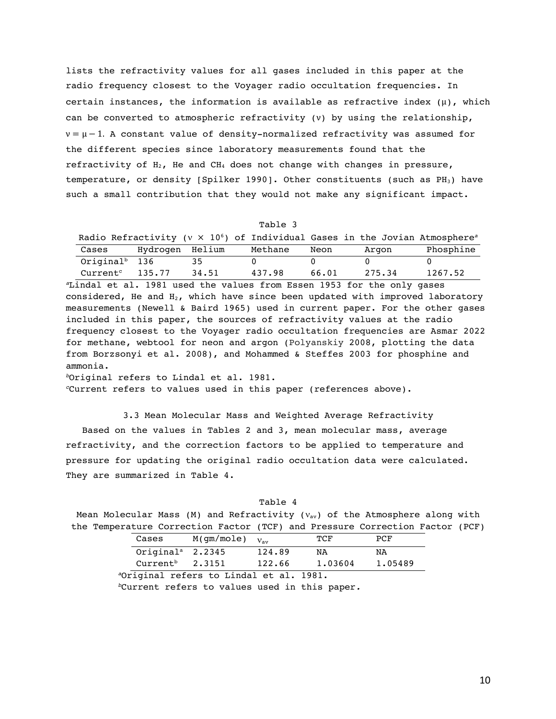lists the refractivity values for all gases included in this paper at the radio frequency closest to the Voyager radio occultation frequencies. In certain instances, the information is available as refractive index  $(\mu)$ , which can be converted to atmospheric refractivity (ν) by using the relationship,  $v = \mu - 1$ . A constant value of density-normalized refractivity was assumed for the different species since laboratory measurements found that the refractivity of  $H_2$ , He and CH<sub>4</sub> does not change with changes in pressure, temperature, or density [Spilker 1990]. Other constituents (such as  $PH_3$ ) have such a small contribution that they would not make any significant impact.

| пп.<br>anı |  |
|------------|--|
|------------|--|

|                           |                 |       | Radio Refractivity ( $v \times 10^6$ ) of Individual Gases in the Jovian Atmosphere <sup>a</sup> |       |        |           |
|---------------------------|-----------------|-------|--------------------------------------------------------------------------------------------------|-------|--------|-----------|
| Cases                     | Hydrogen Helium |       | Methane                                                                                          | Neon  | Argon  | Phosphine |
| Original <sup>b</sup> 136 |                 | -35   |                                                                                                  |       |        |           |
| Current <sup>c</sup>      | 135.77          | 34.51 | 437.98                                                                                           | 66.01 | 275.34 | 1267.52   |

*<sup>a</sup>*Lindal et al. 1981 used the values from Essen 1953 for the only gases considered, He and  $H_2$ , which have since been updated with improved laboratory measurements (Newell & Baird 1965) used in current paper. For the other gases included in this paper, the sources of refractivity values at the radio frequency closest to the Voyager radio occultation frequencies are Asmar 2022 for methane, webtool for neon and argon (Polyanskiy 2008, plotting the data from Borzsonyi et al. 2008), and Mohammed & Steffes 2003 for phosphine and ammonia.

*<sup>b</sup>*Original refers to Lindal et al. 1981.

*<sup>c</sup>*Current refers to values used in this paper (references above).

3.3 Mean Molecular Mass and Weighted Average Refractivity Based on the values in Tables 2 and 3, mean molecular mass, average refractivity, and the correction factors to be applied to temperature and pressure for updating the original radio occultation data were calculated. They are summarized in Table 4.

Table 4

| Mean Molecular Mass (M) and Refractivity ( $v_{av}$ ) of the Atmosphere along with |  |  |  |  |  |
|------------------------------------------------------------------------------------|--|--|--|--|--|
| the Temperature Correction Factor (TCF) and Pressure Correction Factor (PCF)       |  |  |  |  |  |

| Cases                          | $M(gm/mole)$ $V_{av}$ |        | TCF     | PCF     |
|--------------------------------|-----------------------|--------|---------|---------|
| Original <sup>a</sup> $2.2345$ |                       | 124.89 | NA      | NA      |
| Current <sup>b</sup>           | 2.3151                | 122.66 | 1,03604 | 1.05489 |
|                                | .                     |        |         |         |

 *a*Original refers to Lindal et al. 1981.

 *b*Current refers to values used in this paper*.*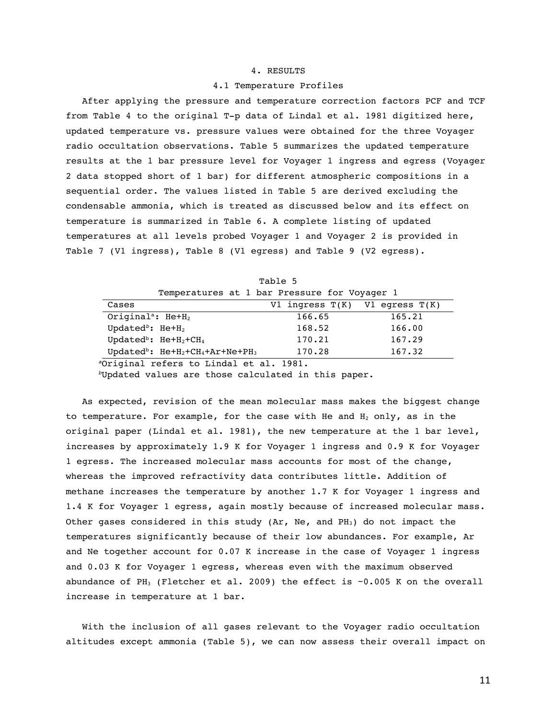## 4. RESULTS

#### 4.1 Temperature Profiles

After applying the pressure and temperature correction factors PCF and TCF from Table 4 to the original T-p data of Lindal et al. 1981 digitized here, updated temperature vs. pressure values were obtained for the three Voyager radio occultation observations. Table 5 summarizes the updated temperature results at the 1 bar pressure level for Voyager 1 ingress and egress (Voyager 2 data stopped short of 1 bar) for different atmospheric compositions in a sequential order. The values listed in Table 5 are derived excluding the condensable ammonia, which is treated as discussed below and its effect on temperature is summarized in Table 6. A complete listing of updated temperatures at all levels probed Voyager 1 and Voyager 2 is provided in Table 7 (V1 ingress), Table 8 (V1 egress) and Table 9 (V2 egress).

|                                 | Temperatures at 1 bar Pressure for Voyager 1    |                                    |        |
|---------------------------------|-------------------------------------------------|------------------------------------|--------|
| Cases                           |                                                 | V1 ingress $T(K)$ V1 egress $T(K)$ |        |
|                                 | Original <sup>a</sup> : $He+H_2$                | 166.65                             | 165.21 |
| Updated <sup>b</sup> : $He+H_2$ |                                                 | 168.52                             | 166.00 |
|                                 | Updated <sup>b</sup> : $He+H_2+CH_4$            | 170.21                             | 167.29 |
|                                 | Updated <sup>b</sup> : $He+H_2+CH_4+Ar+Ne+PH_3$ | 170.28                             | 167.32 |
|                                 | <sup>a</sup> Original refers to Lindal et al    | 1981                               |        |

Table 5

*<sup>a</sup>*Original refers to Lindal et al. 1981.

*<sup>b</sup>*Updated values are those calculated in this paper.

As expected, revision of the mean molecular mass makes the biggest change to temperature. For example, for the case with He and  $H_2$  only, as in the original paper (Lindal et al. 1981), the new temperature at the 1 bar level, increases by approximately 1.9 K for Voyager 1 ingress and 0.9 K for Voyager 1 egress. The increased molecular mass accounts for most of the change, whereas the improved refractivity data contributes little. Addition of methane increases the temperature by another 1.7 K for Voyager 1 ingress and 1.4 K for Voyager 1 egress, again mostly because of increased molecular mass. Other gases considered in this study (Ar, Ne, and PH<sub>3</sub>) do not impact the temperatures significantly because of their low abundances. For example, Ar and Ne together account for 0.07 K increase in the case of Voyager 1 ingress and 0.03 K for Voyager 1 egress, whereas even with the maximum observed abundance of PH<sub>3</sub> (Fletcher et al. 2009) the effect is  $\sim$ 0.005 K on the overall increase in temperature at 1 bar.

With the inclusion of all gases relevant to the Voyager radio occultation altitudes except ammonia (Table 5), we can now assess their overall impact on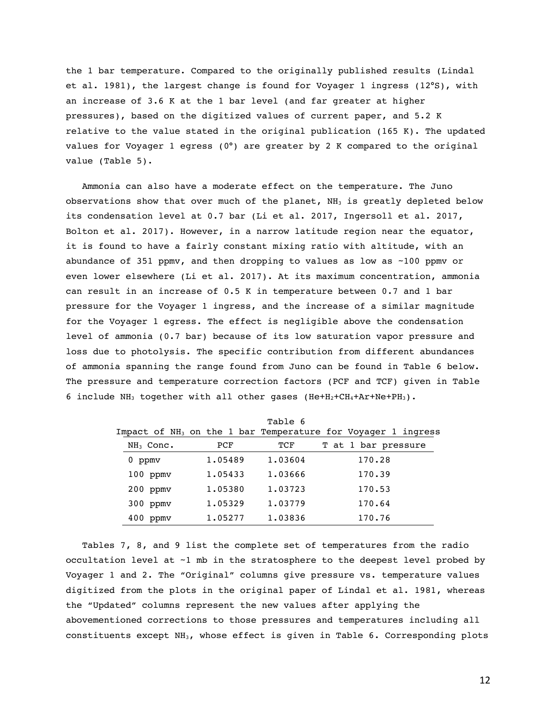the 1 bar temperature. Compared to the originally published results (Lindal et al. 1981), the largest change is found for Voyager 1 ingress (12°S), with an increase of 3.6 K at the 1 bar level (and far greater at higher pressures), based on the digitized values of current paper, and 5.2 K relative to the value stated in the original publication  $(165 K)$ . The updated values for Voyager 1 egress (0°) are greater by 2 K compared to the original value (Table 5).

Ammonia can also have a moderate effect on the temperature. The Juno observations show that over much of the planet,  $NH<sub>3</sub>$  is greatly depleted below its condensation level at 0.7 bar (Li et al. 2017, Ingersoll et al. 2017, Bolton et al. 2017). However, in a narrow latitude region near the equator, it is found to have a fairly constant mixing ratio with altitude, with an abundance of 351 ppmv, and then dropping to values as low as ~100 ppmv or even lower elsewhere (Li et al. 2017). At its maximum concentration, ammonia can result in an increase of 0.5 K in temperature between 0.7 and 1 bar pressure for the Voyager 1 ingress, and the increase of a similar magnitude for the Voyager 1 egress. The effect is negligible above the condensation level of ammonia (0.7 bar) because of its low saturation vapor pressure and loss due to photolysis. The specific contribution from different abundances of ammonia spanning the range found from Juno can be found in Table 6 below. The pressure and temperature correction factors (PCF and TCF) given in Table 6 include NH<sub>3</sub> together with all other gases (He+H<sub>2</sub>+CH<sub>4</sub>+Ar+Ne+PH<sub>3</sub>).

|               |                                                                          | rante o |                     |  |
|---------------|--------------------------------------------------------------------------|---------|---------------------|--|
|               | Impact of NH <sub>3</sub> on the 1 bar Temperature for Voyager 1 ingress |         |                     |  |
| $NH3$ Conc.   | PCF                                                                      | TCF     | T at 1 bar pressure |  |
| ppmv<br>0     | 1.05489                                                                  | 1.03604 | 170.28              |  |
| $100$ ppm $v$ | 1.05433                                                                  | 1.03666 | 170.39              |  |
| $200$ ppmv    | 1.05380                                                                  | 1.03723 | 170.53              |  |
| $300$ ppm $v$ | 1.05329                                                                  | 1.03779 | 170.64              |  |
| 400<br>ppmv   | 1.05277                                                                  | 1.03836 | 170.76              |  |

 $Table 6$ 

Tables 7, 8, and 9 list the complete set of temperatures from the radio occultation level at ~1 mb in the stratosphere to the deepest level probed by Voyager 1 and 2. The "Original" columns give pressure vs. temperature values digitized from the plots in the original paper of Lindal et al. 1981, whereas the "Updated" columns represent the new values after applying the abovementioned corrections to those pressures and temperatures including all constituents except  $NH_3$ , whose effect is given in Table 6. Corresponding plots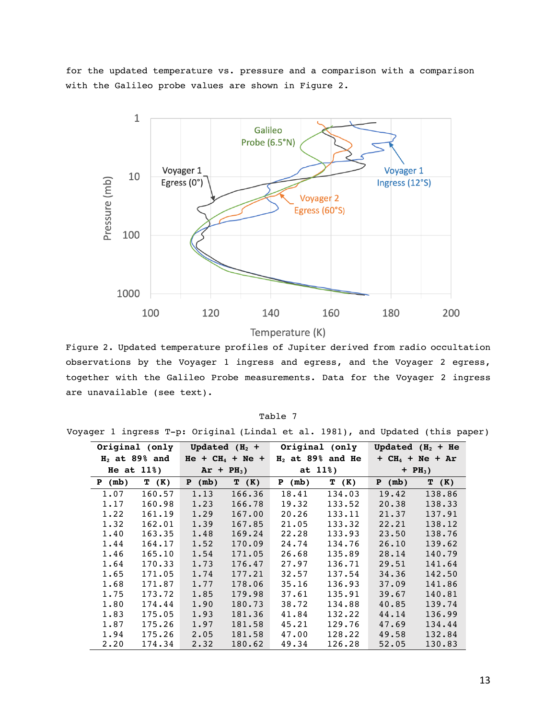for the updated temperature vs. pressure and a comparison with a comparison with the Galileo probe values are shown in Figure 2.



Figure 2. Updated temperature profiles of Jupiter derived from radio occultation observations by the Voyager 1 ingress and egress, and the Voyager 2 egress, together with the Galileo Probe measurements. Data for the Voyager 2 ingress are unavailable (see text).

| Tabl |  |
|------|--|
|------|--|

Voyager 1 ingress T-p: Original (Lindal et al. 1981), and Updated (this paper)

|        | Original (only  |                    | Updated $(H_2 +$ |        | Original (only     |                   | Updated $(H_2 + He)$ |  |
|--------|-----------------|--------------------|------------------|--------|--------------------|-------------------|----------------------|--|
|        | $H2$ at 89% and | $He + CH_4 + Ne +$ |                  |        | $H2$ at 89% and He | $+ CH4 + Ne + Ar$ |                      |  |
|        | He at $11\%$ )  |                    | $Ar + PH3$ )     |        | at $11\%$ )        | $+ PH3)$          |                      |  |
| P (mb) | T (K)           | (mb)<br>P          | T (K)            | P (mb) | T (K)              |                   | T (K)                |  |
| 1.07   | 160.57          | 1.13               | 166.36           | 18.41  | 134.03             | 19.42             | 138.86               |  |
| 1.17   | 160.98          | 1.23               | 166.78           | 19.32  | 133.52             | 20.38             | 138.33               |  |
| 1.22   | 161.19          | 1.29               | 167.00           | 20.26  | 133.11             | 21.37             | 137.91               |  |
| 1.32   | 162.01          | 1.39               | 167.85           | 21.05  | 133.32             | 22.21             | 138.12               |  |
| 1.40   | 163.35          | 1.48               | 169.24           | 22.28  | 133.93             | 23.50             | 138.76               |  |
| 1.44   | 164.17          | 1.52               | 170.09           | 24.74  | 134.76             | 26.10             | 139.62               |  |
| 1.46   | 165.10          | 1.54               | 171.05           | 26.68  | 135.89             | 28.14             | 140.79               |  |
| 1.64   | 170.33          | 1.73               | 176.47           | 27.97  | 136.71             | 29.51             | 141.64               |  |
| 1.65   | 171.05          | 1.74               | 177.21           | 32.57  | 137.54             | 34.36             | 142.50               |  |
| 1.68   | 171.87          | 1.77               | 178.06           | 35.16  | 136.93             | 37.09             | 141.86               |  |
| 1.75   | 173.72          | 1.85               | 179.98           | 37.61  | 135.91             | 39.67             | 140.81               |  |
| 1.80   | 174.44          | 1.90               | 180.73           | 38.72  | 134.88             | 40.85             | 139.74               |  |
| 1.83   | 175.05          | 1.93               | 181.36           | 41.84  | 132.22             | 44.14             | 136.99               |  |
| 1.87   | 175.26          | 1.97               | 181.58           | 45.21  | 129.76             | 47.69             | 134.44               |  |
| 1.94   | 175.26          | 2.05               | 181.58           | 47.00  | 128.22             | 49.58             | 132.84               |  |
| 2.20   | 174.34          | 2.32               | 180.62           | 49.34  | 126.28             | 52.05             | 130.83               |  |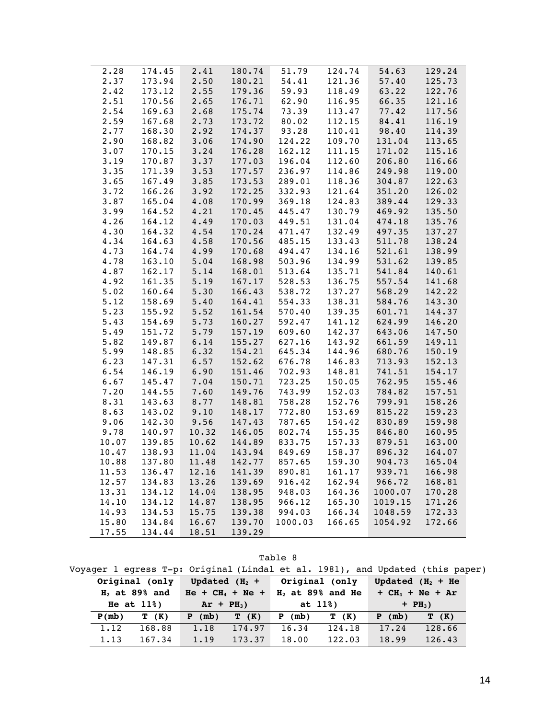| 2.28<br>174.45<br>2.41<br>180.74<br>51.79<br>124.74<br>54.63<br>2.50<br>2.37<br>173.94<br>180.21<br>54.41<br>121.36<br>57.40<br>125.73<br>2.42<br>173.12<br>2.55<br>179.36<br>59.93<br>118.49<br>63.22<br>122.76<br>2.51<br>170.56<br>2.65<br>62.90<br>116.95<br>121.16<br>176.71<br>66.35<br>2.68<br>2.54<br>169.63<br>175.74<br>73.39<br>77.42<br>113.47<br>117.56<br>2.59<br>167.68<br>2.73<br>173.72<br>80.02<br>112.15<br>84.41<br>116.19<br>2.77<br>2.92<br>168.30<br>174.37<br>93.28<br>110.41<br>98.40<br>114.39<br>2.90<br>3.06<br>124.22<br>109.70<br>131.04<br>168.82<br>174.90<br>113.65<br>3.07<br>3.24<br>162.12<br>111.15<br>170.15<br>176.28<br>171.02<br>115.16<br>$206.80$<br>$249.98$<br>$304.87$<br>$3.37$<br>$3.53$<br>3.19<br>170.87<br>177.03<br>196.04<br>112.60<br>116.66<br>3.35<br>3.53<br>171.39<br>177.57<br>236.97<br>114.86<br>119.00<br>3.65<br>3.85<br>167.49<br>173.53<br>289.01<br>118.36<br>122.63<br>3.92<br>3.72<br>166.26<br>172.25<br>332.93<br>121.64<br>126.02<br>351.20<br>389.44<br>3.87<br>4.08<br>165.04<br>170.99<br>369.18<br>124.83<br>129.33<br>3.99<br>164.52<br>4.21<br>445.47<br>469.92<br>135.50<br>170.45<br>130.79<br>÷<br>4.26<br>4.49<br>449.51<br>131.04<br>164.12<br>170.03<br>474.18<br>135.76<br>$4.54$<br>$4.58$<br>$4.99$<br>497.35<br>4.30<br>164.32<br>170.24<br>471.47<br>132.49<br>137.27<br>4.34<br>164.63<br>170.56<br>485.15<br>133.43<br>$511.78$<br>$521.61$<br>138.24<br>4.73<br>494.47<br>164.74<br>170.68<br>134.16<br>138.99<br>4.78<br>5.04<br>168.98<br>503.96<br>134.99<br>163.10<br>531.62<br>139.85<br>4.87<br>162.17<br>5.14<br>513.64<br>135.71<br>541.84<br>140.61<br>168.01<br>557.54<br>568.29<br>4.92<br>5.19<br>167.17<br>528.53<br>136.75<br>141.68<br>161.35<br>5.02<br>5.30<br>166.43<br>538.72<br>137.27<br>142.22<br>160.64<br>584.76<br>5.12<br>5.40<br>554.33<br>138.31<br>143.30<br>158.69<br>164.41<br>5.52<br>5.23<br>155.92<br>161.54<br>570.40<br>139.35<br>601.71<br>144.37<br>5.43<br>5.73<br>141.12<br>154.69<br>160.27<br>592.47<br>624.99<br>146.20<br>5.79<br>5.49<br>157.19<br>609.60<br>142.37<br>643.06<br>661.59<br>147.50<br>151.72<br>5.82<br>6.14<br>155.27<br>627.16<br>143.92<br>149.11<br>149.87<br>5.99<br>$6.32$<br>$6.57$<br>148.85<br>154.21<br>645.34<br>144.96<br>680.76<br>150.19<br>6.23<br>147.31<br>152.62<br>676.78<br>146.83<br>713.93<br>152.13<br>6.54<br>6.90<br>146.19<br>151.46<br>702.93<br>148.81<br>741.51<br>154.17<br>6.67<br>7.04<br>145.47<br>723.25<br>150.05<br>762.95<br>155.46<br>$150.71$<br>$149.76$<br>7.20<br>7.60<br>144.55<br>743.99<br>152.03<br>784.82<br>157.51<br>8.31<br>8.77<br>143.63<br>148.81<br>758.28<br>152.76<br>799.91<br>158.26<br>9.10<br>8.63<br>143.02<br>772.80<br>153.69<br>148.17<br>815.22<br>159.23<br>$9.56$<br>$10.32$<br>830.89<br>846.80<br>9.06<br>154.42<br>142.30<br>147.43<br>787.65<br>159.98<br>9.78<br>10.32<br>802.74<br>155.35<br>140.97<br>146.05<br>160.95<br>10.07<br>139.85<br>10.62<br>144.89<br>833.75<br>157.33<br>879.51<br>163.00<br>10.47<br>138.93<br>11.04<br>143.94<br>849.69<br>158.37<br>896.32<br>164.07<br>оуб.32<br>904.73<br>10.88<br>11.48<br>142.77<br>857.65<br>159.30<br>137.80<br>165.04<br>11.53<br>136.47<br>12.16<br>141.39<br>890.81<br>161.17<br>939.71<br>166.98<br>12.57<br>134.83<br>13.26<br>139.69<br>916.42<br>162.94<br>966.72<br>168.81<br>13.31<br>134.12<br>14.04<br>138.95<br>948.03<br>164.36<br>1000.07<br>170.28<br>14.10<br>134.12<br>14.87<br>138.95<br>966.12<br>165.30<br>171.26<br>1019.15<br>14.93<br>134.53<br>15.75<br>139.38<br>994.03<br>166.34<br>1048.59<br>172.33<br>166.65<br>172.66<br>15.80<br>134.84<br>16.67<br>139.70<br>1000.03<br>1054.92<br>17.55<br>134.44<br>18.51<br>139.29 |  |  |  |  |        |
|--------------------------------------------------------------------------------------------------------------------------------------------------------------------------------------------------------------------------------------------------------------------------------------------------------------------------------------------------------------------------------------------------------------------------------------------------------------------------------------------------------------------------------------------------------------------------------------------------------------------------------------------------------------------------------------------------------------------------------------------------------------------------------------------------------------------------------------------------------------------------------------------------------------------------------------------------------------------------------------------------------------------------------------------------------------------------------------------------------------------------------------------------------------------------------------------------------------------------------------------------------------------------------------------------------------------------------------------------------------------------------------------------------------------------------------------------------------------------------------------------------------------------------------------------------------------------------------------------------------------------------------------------------------------------------------------------------------------------------------------------------------------------------------------------------------------------------------------------------------------------------------------------------------------------------------------------------------------------------------------------------------------------------------------------------------------------------------------------------------------------------------------------------------------------------------------------------------------------------------------------------------------------------------------------------------------------------------------------------------------------------------------------------------------------------------------------------------------------------------------------------------------------------------------------------------------------------------------------------------------------------------------------------------------------------------------------------------------------------------------------------------------------------------------------------------------------------------------------------------------------------------------------------------------------------------------------------------------------------------------------------------------------------------------------------------------------------------------------------------------------------------------------------------------------------------------------------------------------------------------------------------------------------------------------------------------------------------------------------------------------------------------------------------------------------------------------------------------------------------------------------------------------------------------------------------------------------------------------------------------------------------------------------------------------------------------------------------------------------------------|--|--|--|--|--------|
|                                                                                                                                                                                                                                                                                                                                                                                                                                                                                                                                                                                                                                                                                                                                                                                                                                                                                                                                                                                                                                                                                                                                                                                                                                                                                                                                                                                                                                                                                                                                                                                                                                                                                                                                                                                                                                                                                                                                                                                                                                                                                                                                                                                                                                                                                                                                                                                                                                                                                                                                                                                                                                                                                                                                                                                                                                                                                                                                                                                                                                                                                                                                                                                                                                                                                                                                                                                                                                                                                                                                                                                                                                                                                                                                            |  |  |  |  | 129.24 |
|                                                                                                                                                                                                                                                                                                                                                                                                                                                                                                                                                                                                                                                                                                                                                                                                                                                                                                                                                                                                                                                                                                                                                                                                                                                                                                                                                                                                                                                                                                                                                                                                                                                                                                                                                                                                                                                                                                                                                                                                                                                                                                                                                                                                                                                                                                                                                                                                                                                                                                                                                                                                                                                                                                                                                                                                                                                                                                                                                                                                                                                                                                                                                                                                                                                                                                                                                                                                                                                                                                                                                                                                                                                                                                                                            |  |  |  |  |        |
|                                                                                                                                                                                                                                                                                                                                                                                                                                                                                                                                                                                                                                                                                                                                                                                                                                                                                                                                                                                                                                                                                                                                                                                                                                                                                                                                                                                                                                                                                                                                                                                                                                                                                                                                                                                                                                                                                                                                                                                                                                                                                                                                                                                                                                                                                                                                                                                                                                                                                                                                                                                                                                                                                                                                                                                                                                                                                                                                                                                                                                                                                                                                                                                                                                                                                                                                                                                                                                                                                                                                                                                                                                                                                                                                            |  |  |  |  |        |
|                                                                                                                                                                                                                                                                                                                                                                                                                                                                                                                                                                                                                                                                                                                                                                                                                                                                                                                                                                                                                                                                                                                                                                                                                                                                                                                                                                                                                                                                                                                                                                                                                                                                                                                                                                                                                                                                                                                                                                                                                                                                                                                                                                                                                                                                                                                                                                                                                                                                                                                                                                                                                                                                                                                                                                                                                                                                                                                                                                                                                                                                                                                                                                                                                                                                                                                                                                                                                                                                                                                                                                                                                                                                                                                                            |  |  |  |  |        |
|                                                                                                                                                                                                                                                                                                                                                                                                                                                                                                                                                                                                                                                                                                                                                                                                                                                                                                                                                                                                                                                                                                                                                                                                                                                                                                                                                                                                                                                                                                                                                                                                                                                                                                                                                                                                                                                                                                                                                                                                                                                                                                                                                                                                                                                                                                                                                                                                                                                                                                                                                                                                                                                                                                                                                                                                                                                                                                                                                                                                                                                                                                                                                                                                                                                                                                                                                                                                                                                                                                                                                                                                                                                                                                                                            |  |  |  |  |        |
|                                                                                                                                                                                                                                                                                                                                                                                                                                                                                                                                                                                                                                                                                                                                                                                                                                                                                                                                                                                                                                                                                                                                                                                                                                                                                                                                                                                                                                                                                                                                                                                                                                                                                                                                                                                                                                                                                                                                                                                                                                                                                                                                                                                                                                                                                                                                                                                                                                                                                                                                                                                                                                                                                                                                                                                                                                                                                                                                                                                                                                                                                                                                                                                                                                                                                                                                                                                                                                                                                                                                                                                                                                                                                                                                            |  |  |  |  |        |
|                                                                                                                                                                                                                                                                                                                                                                                                                                                                                                                                                                                                                                                                                                                                                                                                                                                                                                                                                                                                                                                                                                                                                                                                                                                                                                                                                                                                                                                                                                                                                                                                                                                                                                                                                                                                                                                                                                                                                                                                                                                                                                                                                                                                                                                                                                                                                                                                                                                                                                                                                                                                                                                                                                                                                                                                                                                                                                                                                                                                                                                                                                                                                                                                                                                                                                                                                                                                                                                                                                                                                                                                                                                                                                                                            |  |  |  |  |        |
|                                                                                                                                                                                                                                                                                                                                                                                                                                                                                                                                                                                                                                                                                                                                                                                                                                                                                                                                                                                                                                                                                                                                                                                                                                                                                                                                                                                                                                                                                                                                                                                                                                                                                                                                                                                                                                                                                                                                                                                                                                                                                                                                                                                                                                                                                                                                                                                                                                                                                                                                                                                                                                                                                                                                                                                                                                                                                                                                                                                                                                                                                                                                                                                                                                                                                                                                                                                                                                                                                                                                                                                                                                                                                                                                            |  |  |  |  |        |
|                                                                                                                                                                                                                                                                                                                                                                                                                                                                                                                                                                                                                                                                                                                                                                                                                                                                                                                                                                                                                                                                                                                                                                                                                                                                                                                                                                                                                                                                                                                                                                                                                                                                                                                                                                                                                                                                                                                                                                                                                                                                                                                                                                                                                                                                                                                                                                                                                                                                                                                                                                                                                                                                                                                                                                                                                                                                                                                                                                                                                                                                                                                                                                                                                                                                                                                                                                                                                                                                                                                                                                                                                                                                                                                                            |  |  |  |  |        |
|                                                                                                                                                                                                                                                                                                                                                                                                                                                                                                                                                                                                                                                                                                                                                                                                                                                                                                                                                                                                                                                                                                                                                                                                                                                                                                                                                                                                                                                                                                                                                                                                                                                                                                                                                                                                                                                                                                                                                                                                                                                                                                                                                                                                                                                                                                                                                                                                                                                                                                                                                                                                                                                                                                                                                                                                                                                                                                                                                                                                                                                                                                                                                                                                                                                                                                                                                                                                                                                                                                                                                                                                                                                                                                                                            |  |  |  |  |        |
|                                                                                                                                                                                                                                                                                                                                                                                                                                                                                                                                                                                                                                                                                                                                                                                                                                                                                                                                                                                                                                                                                                                                                                                                                                                                                                                                                                                                                                                                                                                                                                                                                                                                                                                                                                                                                                                                                                                                                                                                                                                                                                                                                                                                                                                                                                                                                                                                                                                                                                                                                                                                                                                                                                                                                                                                                                                                                                                                                                                                                                                                                                                                                                                                                                                                                                                                                                                                                                                                                                                                                                                                                                                                                                                                            |  |  |  |  |        |
|                                                                                                                                                                                                                                                                                                                                                                                                                                                                                                                                                                                                                                                                                                                                                                                                                                                                                                                                                                                                                                                                                                                                                                                                                                                                                                                                                                                                                                                                                                                                                                                                                                                                                                                                                                                                                                                                                                                                                                                                                                                                                                                                                                                                                                                                                                                                                                                                                                                                                                                                                                                                                                                                                                                                                                                                                                                                                                                                                                                                                                                                                                                                                                                                                                                                                                                                                                                                                                                                                                                                                                                                                                                                                                                                            |  |  |  |  |        |
|                                                                                                                                                                                                                                                                                                                                                                                                                                                                                                                                                                                                                                                                                                                                                                                                                                                                                                                                                                                                                                                                                                                                                                                                                                                                                                                                                                                                                                                                                                                                                                                                                                                                                                                                                                                                                                                                                                                                                                                                                                                                                                                                                                                                                                                                                                                                                                                                                                                                                                                                                                                                                                                                                                                                                                                                                                                                                                                                                                                                                                                                                                                                                                                                                                                                                                                                                                                                                                                                                                                                                                                                                                                                                                                                            |  |  |  |  |        |
|                                                                                                                                                                                                                                                                                                                                                                                                                                                                                                                                                                                                                                                                                                                                                                                                                                                                                                                                                                                                                                                                                                                                                                                                                                                                                                                                                                                                                                                                                                                                                                                                                                                                                                                                                                                                                                                                                                                                                                                                                                                                                                                                                                                                                                                                                                                                                                                                                                                                                                                                                                                                                                                                                                                                                                                                                                                                                                                                                                                                                                                                                                                                                                                                                                                                                                                                                                                                                                                                                                                                                                                                                                                                                                                                            |  |  |  |  |        |
|                                                                                                                                                                                                                                                                                                                                                                                                                                                                                                                                                                                                                                                                                                                                                                                                                                                                                                                                                                                                                                                                                                                                                                                                                                                                                                                                                                                                                                                                                                                                                                                                                                                                                                                                                                                                                                                                                                                                                                                                                                                                                                                                                                                                                                                                                                                                                                                                                                                                                                                                                                                                                                                                                                                                                                                                                                                                                                                                                                                                                                                                                                                                                                                                                                                                                                                                                                                                                                                                                                                                                                                                                                                                                                                                            |  |  |  |  |        |
|                                                                                                                                                                                                                                                                                                                                                                                                                                                                                                                                                                                                                                                                                                                                                                                                                                                                                                                                                                                                                                                                                                                                                                                                                                                                                                                                                                                                                                                                                                                                                                                                                                                                                                                                                                                                                                                                                                                                                                                                                                                                                                                                                                                                                                                                                                                                                                                                                                                                                                                                                                                                                                                                                                                                                                                                                                                                                                                                                                                                                                                                                                                                                                                                                                                                                                                                                                                                                                                                                                                                                                                                                                                                                                                                            |  |  |  |  |        |
|                                                                                                                                                                                                                                                                                                                                                                                                                                                                                                                                                                                                                                                                                                                                                                                                                                                                                                                                                                                                                                                                                                                                                                                                                                                                                                                                                                                                                                                                                                                                                                                                                                                                                                                                                                                                                                                                                                                                                                                                                                                                                                                                                                                                                                                                                                                                                                                                                                                                                                                                                                                                                                                                                                                                                                                                                                                                                                                                                                                                                                                                                                                                                                                                                                                                                                                                                                                                                                                                                                                                                                                                                                                                                                                                            |  |  |  |  |        |
|                                                                                                                                                                                                                                                                                                                                                                                                                                                                                                                                                                                                                                                                                                                                                                                                                                                                                                                                                                                                                                                                                                                                                                                                                                                                                                                                                                                                                                                                                                                                                                                                                                                                                                                                                                                                                                                                                                                                                                                                                                                                                                                                                                                                                                                                                                                                                                                                                                                                                                                                                                                                                                                                                                                                                                                                                                                                                                                                                                                                                                                                                                                                                                                                                                                                                                                                                                                                                                                                                                                                                                                                                                                                                                                                            |  |  |  |  |        |
|                                                                                                                                                                                                                                                                                                                                                                                                                                                                                                                                                                                                                                                                                                                                                                                                                                                                                                                                                                                                                                                                                                                                                                                                                                                                                                                                                                                                                                                                                                                                                                                                                                                                                                                                                                                                                                                                                                                                                                                                                                                                                                                                                                                                                                                                                                                                                                                                                                                                                                                                                                                                                                                                                                                                                                                                                                                                                                                                                                                                                                                                                                                                                                                                                                                                                                                                                                                                                                                                                                                                                                                                                                                                                                                                            |  |  |  |  |        |
|                                                                                                                                                                                                                                                                                                                                                                                                                                                                                                                                                                                                                                                                                                                                                                                                                                                                                                                                                                                                                                                                                                                                                                                                                                                                                                                                                                                                                                                                                                                                                                                                                                                                                                                                                                                                                                                                                                                                                                                                                                                                                                                                                                                                                                                                                                                                                                                                                                                                                                                                                                                                                                                                                                                                                                                                                                                                                                                                                                                                                                                                                                                                                                                                                                                                                                                                                                                                                                                                                                                                                                                                                                                                                                                                            |  |  |  |  |        |
|                                                                                                                                                                                                                                                                                                                                                                                                                                                                                                                                                                                                                                                                                                                                                                                                                                                                                                                                                                                                                                                                                                                                                                                                                                                                                                                                                                                                                                                                                                                                                                                                                                                                                                                                                                                                                                                                                                                                                                                                                                                                                                                                                                                                                                                                                                                                                                                                                                                                                                                                                                                                                                                                                                                                                                                                                                                                                                                                                                                                                                                                                                                                                                                                                                                                                                                                                                                                                                                                                                                                                                                                                                                                                                                                            |  |  |  |  |        |
|                                                                                                                                                                                                                                                                                                                                                                                                                                                                                                                                                                                                                                                                                                                                                                                                                                                                                                                                                                                                                                                                                                                                                                                                                                                                                                                                                                                                                                                                                                                                                                                                                                                                                                                                                                                                                                                                                                                                                                                                                                                                                                                                                                                                                                                                                                                                                                                                                                                                                                                                                                                                                                                                                                                                                                                                                                                                                                                                                                                                                                                                                                                                                                                                                                                                                                                                                                                                                                                                                                                                                                                                                                                                                                                                            |  |  |  |  |        |
|                                                                                                                                                                                                                                                                                                                                                                                                                                                                                                                                                                                                                                                                                                                                                                                                                                                                                                                                                                                                                                                                                                                                                                                                                                                                                                                                                                                                                                                                                                                                                                                                                                                                                                                                                                                                                                                                                                                                                                                                                                                                                                                                                                                                                                                                                                                                                                                                                                                                                                                                                                                                                                                                                                                                                                                                                                                                                                                                                                                                                                                                                                                                                                                                                                                                                                                                                                                                                                                                                                                                                                                                                                                                                                                                            |  |  |  |  |        |
|                                                                                                                                                                                                                                                                                                                                                                                                                                                                                                                                                                                                                                                                                                                                                                                                                                                                                                                                                                                                                                                                                                                                                                                                                                                                                                                                                                                                                                                                                                                                                                                                                                                                                                                                                                                                                                                                                                                                                                                                                                                                                                                                                                                                                                                                                                                                                                                                                                                                                                                                                                                                                                                                                                                                                                                                                                                                                                                                                                                                                                                                                                                                                                                                                                                                                                                                                                                                                                                                                                                                                                                                                                                                                                                                            |  |  |  |  |        |
|                                                                                                                                                                                                                                                                                                                                                                                                                                                                                                                                                                                                                                                                                                                                                                                                                                                                                                                                                                                                                                                                                                                                                                                                                                                                                                                                                                                                                                                                                                                                                                                                                                                                                                                                                                                                                                                                                                                                                                                                                                                                                                                                                                                                                                                                                                                                                                                                                                                                                                                                                                                                                                                                                                                                                                                                                                                                                                                                                                                                                                                                                                                                                                                                                                                                                                                                                                                                                                                                                                                                                                                                                                                                                                                                            |  |  |  |  |        |
|                                                                                                                                                                                                                                                                                                                                                                                                                                                                                                                                                                                                                                                                                                                                                                                                                                                                                                                                                                                                                                                                                                                                                                                                                                                                                                                                                                                                                                                                                                                                                                                                                                                                                                                                                                                                                                                                                                                                                                                                                                                                                                                                                                                                                                                                                                                                                                                                                                                                                                                                                                                                                                                                                                                                                                                                                                                                                                                                                                                                                                                                                                                                                                                                                                                                                                                                                                                                                                                                                                                                                                                                                                                                                                                                            |  |  |  |  |        |
|                                                                                                                                                                                                                                                                                                                                                                                                                                                                                                                                                                                                                                                                                                                                                                                                                                                                                                                                                                                                                                                                                                                                                                                                                                                                                                                                                                                                                                                                                                                                                                                                                                                                                                                                                                                                                                                                                                                                                                                                                                                                                                                                                                                                                                                                                                                                                                                                                                                                                                                                                                                                                                                                                                                                                                                                                                                                                                                                                                                                                                                                                                                                                                                                                                                                                                                                                                                                                                                                                                                                                                                                                                                                                                                                            |  |  |  |  |        |
|                                                                                                                                                                                                                                                                                                                                                                                                                                                                                                                                                                                                                                                                                                                                                                                                                                                                                                                                                                                                                                                                                                                                                                                                                                                                                                                                                                                                                                                                                                                                                                                                                                                                                                                                                                                                                                                                                                                                                                                                                                                                                                                                                                                                                                                                                                                                                                                                                                                                                                                                                                                                                                                                                                                                                                                                                                                                                                                                                                                                                                                                                                                                                                                                                                                                                                                                                                                                                                                                                                                                                                                                                                                                                                                                            |  |  |  |  |        |
|                                                                                                                                                                                                                                                                                                                                                                                                                                                                                                                                                                                                                                                                                                                                                                                                                                                                                                                                                                                                                                                                                                                                                                                                                                                                                                                                                                                                                                                                                                                                                                                                                                                                                                                                                                                                                                                                                                                                                                                                                                                                                                                                                                                                                                                                                                                                                                                                                                                                                                                                                                                                                                                                                                                                                                                                                                                                                                                                                                                                                                                                                                                                                                                                                                                                                                                                                                                                                                                                                                                                                                                                                                                                                                                                            |  |  |  |  |        |
|                                                                                                                                                                                                                                                                                                                                                                                                                                                                                                                                                                                                                                                                                                                                                                                                                                                                                                                                                                                                                                                                                                                                                                                                                                                                                                                                                                                                                                                                                                                                                                                                                                                                                                                                                                                                                                                                                                                                                                                                                                                                                                                                                                                                                                                                                                                                                                                                                                                                                                                                                                                                                                                                                                                                                                                                                                                                                                                                                                                                                                                                                                                                                                                                                                                                                                                                                                                                                                                                                                                                                                                                                                                                                                                                            |  |  |  |  |        |
|                                                                                                                                                                                                                                                                                                                                                                                                                                                                                                                                                                                                                                                                                                                                                                                                                                                                                                                                                                                                                                                                                                                                                                                                                                                                                                                                                                                                                                                                                                                                                                                                                                                                                                                                                                                                                                                                                                                                                                                                                                                                                                                                                                                                                                                                                                                                                                                                                                                                                                                                                                                                                                                                                                                                                                                                                                                                                                                                                                                                                                                                                                                                                                                                                                                                                                                                                                                                                                                                                                                                                                                                                                                                                                                                            |  |  |  |  |        |
|                                                                                                                                                                                                                                                                                                                                                                                                                                                                                                                                                                                                                                                                                                                                                                                                                                                                                                                                                                                                                                                                                                                                                                                                                                                                                                                                                                                                                                                                                                                                                                                                                                                                                                                                                                                                                                                                                                                                                                                                                                                                                                                                                                                                                                                                                                                                                                                                                                                                                                                                                                                                                                                                                                                                                                                                                                                                                                                                                                                                                                                                                                                                                                                                                                                                                                                                                                                                                                                                                                                                                                                                                                                                                                                                            |  |  |  |  |        |
|                                                                                                                                                                                                                                                                                                                                                                                                                                                                                                                                                                                                                                                                                                                                                                                                                                                                                                                                                                                                                                                                                                                                                                                                                                                                                                                                                                                                                                                                                                                                                                                                                                                                                                                                                                                                                                                                                                                                                                                                                                                                                                                                                                                                                                                                                                                                                                                                                                                                                                                                                                                                                                                                                                                                                                                                                                                                                                                                                                                                                                                                                                                                                                                                                                                                                                                                                                                                                                                                                                                                                                                                                                                                                                                                            |  |  |  |  |        |
|                                                                                                                                                                                                                                                                                                                                                                                                                                                                                                                                                                                                                                                                                                                                                                                                                                                                                                                                                                                                                                                                                                                                                                                                                                                                                                                                                                                                                                                                                                                                                                                                                                                                                                                                                                                                                                                                                                                                                                                                                                                                                                                                                                                                                                                                                                                                                                                                                                                                                                                                                                                                                                                                                                                                                                                                                                                                                                                                                                                                                                                                                                                                                                                                                                                                                                                                                                                                                                                                                                                                                                                                                                                                                                                                            |  |  |  |  |        |
|                                                                                                                                                                                                                                                                                                                                                                                                                                                                                                                                                                                                                                                                                                                                                                                                                                                                                                                                                                                                                                                                                                                                                                                                                                                                                                                                                                                                                                                                                                                                                                                                                                                                                                                                                                                                                                                                                                                                                                                                                                                                                                                                                                                                                                                                                                                                                                                                                                                                                                                                                                                                                                                                                                                                                                                                                                                                                                                                                                                                                                                                                                                                                                                                                                                                                                                                                                                                                                                                                                                                                                                                                                                                                                                                            |  |  |  |  |        |
|                                                                                                                                                                                                                                                                                                                                                                                                                                                                                                                                                                                                                                                                                                                                                                                                                                                                                                                                                                                                                                                                                                                                                                                                                                                                                                                                                                                                                                                                                                                                                                                                                                                                                                                                                                                                                                                                                                                                                                                                                                                                                                                                                                                                                                                                                                                                                                                                                                                                                                                                                                                                                                                                                                                                                                                                                                                                                                                                                                                                                                                                                                                                                                                                                                                                                                                                                                                                                                                                                                                                                                                                                                                                                                                                            |  |  |  |  |        |
|                                                                                                                                                                                                                                                                                                                                                                                                                                                                                                                                                                                                                                                                                                                                                                                                                                                                                                                                                                                                                                                                                                                                                                                                                                                                                                                                                                                                                                                                                                                                                                                                                                                                                                                                                                                                                                                                                                                                                                                                                                                                                                                                                                                                                                                                                                                                                                                                                                                                                                                                                                                                                                                                                                                                                                                                                                                                                                                                                                                                                                                                                                                                                                                                                                                                                                                                                                                                                                                                                                                                                                                                                                                                                                                                            |  |  |  |  |        |
|                                                                                                                                                                                                                                                                                                                                                                                                                                                                                                                                                                                                                                                                                                                                                                                                                                                                                                                                                                                                                                                                                                                                                                                                                                                                                                                                                                                                                                                                                                                                                                                                                                                                                                                                                                                                                                                                                                                                                                                                                                                                                                                                                                                                                                                                                                                                                                                                                                                                                                                                                                                                                                                                                                                                                                                                                                                                                                                                                                                                                                                                                                                                                                                                                                                                                                                                                                                                                                                                                                                                                                                                                                                                                                                                            |  |  |  |  |        |
|                                                                                                                                                                                                                                                                                                                                                                                                                                                                                                                                                                                                                                                                                                                                                                                                                                                                                                                                                                                                                                                                                                                                                                                                                                                                                                                                                                                                                                                                                                                                                                                                                                                                                                                                                                                                                                                                                                                                                                                                                                                                                                                                                                                                                                                                                                                                                                                                                                                                                                                                                                                                                                                                                                                                                                                                                                                                                                                                                                                                                                                                                                                                                                                                                                                                                                                                                                                                                                                                                                                                                                                                                                                                                                                                            |  |  |  |  |        |
|                                                                                                                                                                                                                                                                                                                                                                                                                                                                                                                                                                                                                                                                                                                                                                                                                                                                                                                                                                                                                                                                                                                                                                                                                                                                                                                                                                                                                                                                                                                                                                                                                                                                                                                                                                                                                                                                                                                                                                                                                                                                                                                                                                                                                                                                                                                                                                                                                                                                                                                                                                                                                                                                                                                                                                                                                                                                                                                                                                                                                                                                                                                                                                                                                                                                                                                                                                                                                                                                                                                                                                                                                                                                                                                                            |  |  |  |  |        |
|                                                                                                                                                                                                                                                                                                                                                                                                                                                                                                                                                                                                                                                                                                                                                                                                                                                                                                                                                                                                                                                                                                                                                                                                                                                                                                                                                                                                                                                                                                                                                                                                                                                                                                                                                                                                                                                                                                                                                                                                                                                                                                                                                                                                                                                                                                                                                                                                                                                                                                                                                                                                                                                                                                                                                                                                                                                                                                                                                                                                                                                                                                                                                                                                                                                                                                                                                                                                                                                                                                                                                                                                                                                                                                                                            |  |  |  |  |        |
|                                                                                                                                                                                                                                                                                                                                                                                                                                                                                                                                                                                                                                                                                                                                                                                                                                                                                                                                                                                                                                                                                                                                                                                                                                                                                                                                                                                                                                                                                                                                                                                                                                                                                                                                                                                                                                                                                                                                                                                                                                                                                                                                                                                                                                                                                                                                                                                                                                                                                                                                                                                                                                                                                                                                                                                                                                                                                                                                                                                                                                                                                                                                                                                                                                                                                                                                                                                                                                                                                                                                                                                                                                                                                                                                            |  |  |  |  |        |
|                                                                                                                                                                                                                                                                                                                                                                                                                                                                                                                                                                                                                                                                                                                                                                                                                                                                                                                                                                                                                                                                                                                                                                                                                                                                                                                                                                                                                                                                                                                                                                                                                                                                                                                                                                                                                                                                                                                                                                                                                                                                                                                                                                                                                                                                                                                                                                                                                                                                                                                                                                                                                                                                                                                                                                                                                                                                                                                                                                                                                                                                                                                                                                                                                                                                                                                                                                                                                                                                                                                                                                                                                                                                                                                                            |  |  |  |  |        |
|                                                                                                                                                                                                                                                                                                                                                                                                                                                                                                                                                                                                                                                                                                                                                                                                                                                                                                                                                                                                                                                                                                                                                                                                                                                                                                                                                                                                                                                                                                                                                                                                                                                                                                                                                                                                                                                                                                                                                                                                                                                                                                                                                                                                                                                                                                                                                                                                                                                                                                                                                                                                                                                                                                                                                                                                                                                                                                                                                                                                                                                                                                                                                                                                                                                                                                                                                                                                                                                                                                                                                                                                                                                                                                                                            |  |  |  |  |        |
|                                                                                                                                                                                                                                                                                                                                                                                                                                                                                                                                                                                                                                                                                                                                                                                                                                                                                                                                                                                                                                                                                                                                                                                                                                                                                                                                                                                                                                                                                                                                                                                                                                                                                                                                                                                                                                                                                                                                                                                                                                                                                                                                                                                                                                                                                                                                                                                                                                                                                                                                                                                                                                                                                                                                                                                                                                                                                                                                                                                                                                                                                                                                                                                                                                                                                                                                                                                                                                                                                                                                                                                                                                                                                                                                            |  |  |  |  |        |
|                                                                                                                                                                                                                                                                                                                                                                                                                                                                                                                                                                                                                                                                                                                                                                                                                                                                                                                                                                                                                                                                                                                                                                                                                                                                                                                                                                                                                                                                                                                                                                                                                                                                                                                                                                                                                                                                                                                                                                                                                                                                                                                                                                                                                                                                                                                                                                                                                                                                                                                                                                                                                                                                                                                                                                                                                                                                                                                                                                                                                                                                                                                                                                                                                                                                                                                                                                                                                                                                                                                                                                                                                                                                                                                                            |  |  |  |  |        |
|                                                                                                                                                                                                                                                                                                                                                                                                                                                                                                                                                                                                                                                                                                                                                                                                                                                                                                                                                                                                                                                                                                                                                                                                                                                                                                                                                                                                                                                                                                                                                                                                                                                                                                                                                                                                                                                                                                                                                                                                                                                                                                                                                                                                                                                                                                                                                                                                                                                                                                                                                                                                                                                                                                                                                                                                                                                                                                                                                                                                                                                                                                                                                                                                                                                                                                                                                                                                                                                                                                                                                                                                                                                                                                                                            |  |  |  |  |        |

Table 8

|  |  |  | Voyager 1 egress T-p: Original (Lindal et al. 1981), and Updated (this paper) |  |  |  |  |  |  |  |  |
|--|--|--|-------------------------------------------------------------------------------|--|--|--|--|--|--|--|--|
|--|--|--|-------------------------------------------------------------------------------|--|--|--|--|--|--|--|--|

| Original (only  |                | Updated $(H_2 +$   |        | Original (only     |        | Updated $(H_2 + He)$  |        |
|-----------------|----------------|--------------------|--------|--------------------|--------|-----------------------|--------|
| $H2$ at 89% and |                | $He + CH_4 + Ne +$ |        | $H2$ at 89% and He |        | $+ CH_4 + Ne + Ar$    |        |
|                 | He at $11\%$ ) | $Ar + PH3$ )       |        | at 11%)            |        | $+$ PH <sub>3</sub> ) |        |
|                 |                |                    |        |                    |        |                       |        |
| P(mb)           | T (K)          | P(mb)              | T (K)  | $P$ (mb)           | T (K)  | P(mb)                 | T (K)  |
| 1.12            | 168.88         | 1.18               | 174.97 | 16.34              | 124.18 | 17.24                 | 128.66 |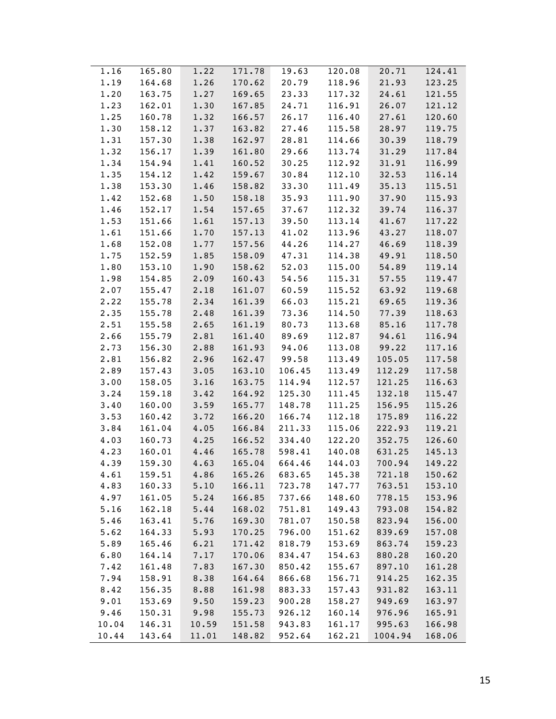| 1.22<br>165.80<br>171.78<br>1.16<br>19.63    | 120.08 | 20.71   | 124.41 |
|----------------------------------------------|--------|---------|--------|
| 1.19<br>164.68<br>1.26<br>170.62<br>20.79    | 118.96 | 21.93   | 123.25 |
| 1.20<br>1.27<br>23.33<br>163.75<br>169.65    | 117.32 | 24.61   | 121.55 |
| 162.01<br>1.23<br>1.30<br>167.85<br>24.71    | 116.91 | 26.07   | 121.12 |
| 1.25<br>160.78<br>166.57<br>26.17<br>1.32    | 116.40 | 27.61   | 120.60 |
| 1.30<br>27.46<br>158.12<br>1.37<br>163.82    | 115.58 | 28.97   | 119.75 |
| 162.97<br>1.31<br>157.30<br>1.38<br>28.81    | 114.66 | 30.39   | 118.79 |
| 1.32<br>156.17<br>1.39<br>161.80<br>29.66    | 113.74 | 31.29   | 117.84 |
| 1.34<br>154.94<br>1.41<br>160.52<br>30.25    | 112.92 | 31.91   | 116.99 |
| 1.35<br>154.12<br>1.42<br>159.67<br>30.84    | 112.10 | 32.53   | 116.14 |
| 1.38<br>153.30<br>1.46<br>158.82<br>33.30    | 111.49 | 35.13   | 115.51 |
| 1.50<br>1.42<br>152.68<br>158.18<br>35.93    | 111.90 | 37.90   | 115.93 |
| 1.46<br>152.17<br>1.54<br>157.65<br>37.67    | 112.32 | 39.74   | 116.37 |
| 1.53<br>151.66<br>1.61<br>157.13<br>39.50    | 113.14 | 41.67   | 117.22 |
| 1.61<br>1.70<br>151.66<br>157.13<br>41.02    | 113.96 | 43.27   | 118.07 |
| 1.68<br>152.08<br>1.77<br>157.56<br>44.26    | 114.27 | 46.69   | 118.39 |
| 1.75<br>152.59<br>1.85<br>158.09<br>47.31    | 114.38 | 49.91   | 118.50 |
| 1.80<br>153.10<br>1.90<br>158.62<br>52.03    | 115.00 | 54.89   | 119.14 |
| 1.98<br>154.85<br>2.09<br>160.43<br>54.56    | 115.31 | 57.55   | 119.47 |
| 155.47<br>2.18<br>2.07<br>161.07<br>60.59    | 115.52 | 63.92   | 119.68 |
| 2.22<br>155.78<br>2.34<br>161.39<br>66.03    | 115.21 | 69.65   | 119.36 |
| 2.35<br>155.78<br>2.48<br>161.39<br>73.36    | 114.50 | 77.39   | 118.63 |
| 155.58<br>2.65<br>161.19<br>2.51<br>80.73    | 113.68 | 85.16   | 117.78 |
| 2.66<br>155.79<br>2.81<br>161.40<br>89.69    | 112.87 | 94.61   | 116.94 |
| 2.73<br>156.30<br>2.88<br>161.93<br>94.06    | 113.08 | 99.22   | 117.16 |
| 2.81<br>156.82<br>2.96<br>162.47<br>99.58    | 113.49 | 105.05  | 117.58 |
| 2.89<br>157.43<br>3.05<br>163.10<br>106.45   | 113.49 | 112.29  | 117.58 |
| 3.00<br>158.05<br>3.16<br>163.75<br>114.94   | 112.57 | 121.25  | 116.63 |
| 3.24<br>159.18<br>3.42<br>125.30<br>164.92   | 111.45 | 132.18  | 115.47 |
| 3.40<br>160.00<br>3.59<br>165.77<br>148.78   | 111.25 | 156.95  | 115.26 |
| 3.53<br>166.74<br>160.42<br>3.72<br>166.20   | 112.18 | 175.89  | 116.22 |
| 3.84<br>161.04<br>4.05<br>166.84<br>211.33   | 115.06 | 222.93  | 119.21 |
| 4.03<br>160.73<br>4.25<br>166.52<br>334.40   | 122.20 | 352.75  | 126.60 |
| 4.46<br>4.23<br>160.01<br>165.78<br>598.41   | 140.08 | 631.25  | 145.13 |
| 4.39<br>159.30<br>664.46<br>4.63<br>165.04   | 144.03 | 700.94  | 149.22 |
| 4.61<br>159.51<br>4.86<br>165.26<br>683.65   | 145.38 | 721.18  | 150.62 |
| 4.83<br>160.33<br>166.11<br>723.78<br>5.10   | 147.77 | 763.51  | 153.10 |
| 4.97<br>161.05<br>5.24<br>166.85<br>737.66   | 148.60 | 778.15  | 153.96 |
| 5.16<br>751.81<br>162.18<br>5.44<br>168.02   | 149.43 | 793.08  | 154.82 |
| 781.07<br>5.46<br>163.41<br>5.76<br>169.30   | 150.58 | 823.94  | 156.00 |
| 796.00<br>5.62<br>164.33<br>5.93<br>170.25   | 151.62 | 839.69  | 157.08 |
| 5.89<br>165.46<br>6.21<br>171.42<br>818.79   | 153.69 | 863.74  | 159.23 |
| 6.80<br>164.14<br>7.17<br>170.06<br>834.47   | 154.63 | 880.28  | 160.20 |
| 7.42<br>161.48<br>7.83<br>167.30<br>850.42   | 155.67 | 897.10  | 161.28 |
| 7.94<br>158.91<br>8.38<br>164.64<br>866.68   | 156.71 | 914.25  | 162.35 |
| 8.42<br>156.35<br>883.33<br>8.88<br>161.98   | 157.43 | 931.82  | 163.11 |
| 9.01<br>153.69<br>9.50<br>159.23<br>900.28   | 158.27 | 949.69  | 163.97 |
| 9.46<br>155.73<br>926.12<br>150.31<br>9.98   | 160.14 | 976.96  | 165.91 |
| 10.04<br>146.31<br>151.58<br>943.83<br>10.59 | 161.17 | 995.63  | 166.98 |
| 952.64<br>10.44<br>143.64<br>11.01<br>148.82 | 162.21 | 1004.94 | 168.06 |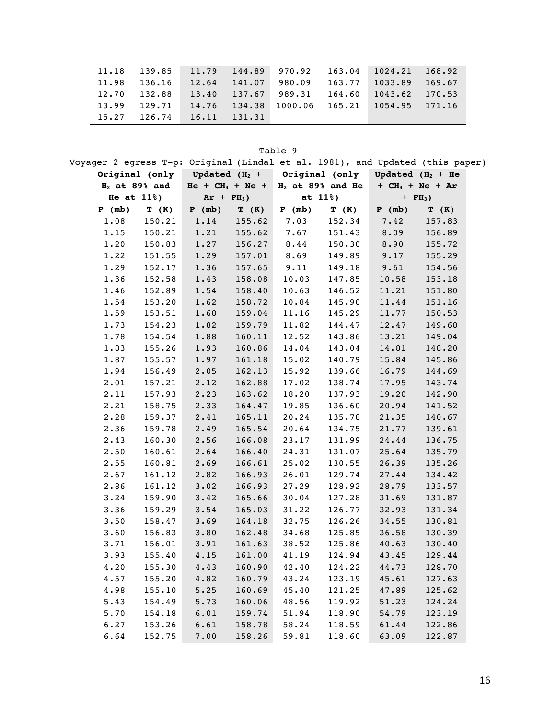|                                   |  |  | $11.18$ 139.85 11.79 144.89 970.92 163.04 1024.21 168.92                |  |
|-----------------------------------|--|--|-------------------------------------------------------------------------|--|
|                                   |  |  | $11.98$ 136.16 12.64 141.07 980.09 163.77 1033.89 169.67                |  |
|                                   |  |  | $12.70$ $132.88$ $13.40$ $137.67$ $989.31$ $164.60$ $1043.62$ $170.53$  |  |
|                                   |  |  | $13.99$ $129.71$ $14.76$ $134.38$ $1000.06$ $165.21$ $1054.95$ $171.16$ |  |
| $15.27$ $126.74$ $16.11$ $131.31$ |  |  |                                                                         |  |

Table 9

Voyager 2 egress T-p: Original (Lindal et al. 1981), and Updated (this paper)

|                 |        |                      |        |                    |        | Original (only Updated $(H_2 +$ Original (only Updated $(H_2 + He)$ |        |
|-----------------|--------|----------------------|--------|--------------------|--------|---------------------------------------------------------------------|--------|
| $H2$ at 89% and |        | $He + CH_4 + Ne +$   |        | $H2$ at 89% and He |        | $+CH4 + Ne + Ar$                                                    |        |
| He at 11%)      |        | $Ar + PH3$ )         |        | at 11%)            |        | $+ PH3)$                                                            |        |
| P (mb)          | T (K)  | (mb)<br>$\mathbf{P}$ | T (K)  | P<br>(mb)          | T (K)  | $\overline{\mathbf{P}}$<br>(mb)                                     | T (K)  |
| 1.08            | 150.21 | 1.14                 | 155.62 | 7.03               | 152.34 | 7.42                                                                | 157.83 |
| 1.15            | 150.21 | 1.21                 | 155.62 | 7.67               | 151.43 | 8.09                                                                | 156.89 |
| 1.20            | 150.83 | 1.27                 | 156.27 | 8.44               | 150.30 | 8.90                                                                | 155.72 |
| 1.22            | 151.55 | 1.29                 | 157.01 | 8.69               | 149.89 | 9.17                                                                | 155.29 |
| 1.29            | 152.17 | 1.36                 | 157.65 | 9.11               | 149.18 | 9.61                                                                | 154.56 |
| 1.36            | 152.58 | 1.43                 | 158.08 | 10.03              | 147.85 | 10.58                                                               | 153.18 |
| 1.46            | 152.89 | 1.54                 | 158.40 | 10.63              | 146.52 | 11.21                                                               | 151.80 |
| 1.54            | 153.20 | 1.62                 | 158.72 | 10.84              | 145.90 | 11.44                                                               | 151.16 |
| 1.59            | 153.51 | 1.68                 | 159.04 | 11.16              | 145.29 | 11.77                                                               | 150.53 |
| 1.73            | 154.23 | 1.82                 | 159.79 | 11.82              | 144.47 | 12.47                                                               | 149.68 |
| 1.78            | 154.54 | 1.88                 | 160.11 | 12.52              | 143.86 | 13.21                                                               | 149.04 |
| 1.83            | 155.26 | 1.93                 | 160.86 | 14.04              | 143.04 | 14.81                                                               | 148.20 |
| 1.87            | 155.57 | 1.97                 | 161.18 | 15.02              | 140.79 | 15.84                                                               | 145.86 |
| 1.94            | 156.49 | 2.05                 | 162.13 | 15.92              | 139.66 | 16.79                                                               | 144.69 |
| 2.01            | 157.21 | 2.12                 | 162.88 | 17.02              | 138.74 | 17.95                                                               | 143.74 |
| 2.11            | 157.93 | 2.23                 | 163.62 | 18.20              | 137.93 | 19.20                                                               | 142.90 |
| 2.21            | 158.75 | 2.33                 | 164.47 | 19.85              | 136.60 | 20.94                                                               | 141.52 |
| 2.28            | 159.37 | 2.41                 | 165.11 | 20.24              | 135.78 | 21.35                                                               | 140.67 |
| 2.36            | 159.78 | 2.49                 | 165.54 | 20.64              | 134.75 | 21.77                                                               | 139.61 |
| 2.43            | 160.30 | 2.56                 | 166.08 | 23.17              | 131.99 | 24.44                                                               | 136.75 |
| 2.50            | 160.61 | 2.64                 | 166.40 | 24.31              | 131.07 | 25.64                                                               | 135.79 |
| 2.55            | 160.81 | 2.69                 | 166.61 | 25.02              | 130.55 | 26.39                                                               | 135.26 |
| 2.67            | 161.12 | 2.82                 | 166.93 | 26.01              | 129.74 | 27.44                                                               | 134.42 |
| 2.86            | 161.12 | 3.02                 | 166.93 | 27.29              | 128.92 | 28.79                                                               | 133.57 |
| 3.24            | 159.90 | 3.42                 | 165.66 | 30.04              | 127.28 | 31.69                                                               | 131.87 |
| 3.36            | 159.29 | 3.54                 | 165.03 | 31.22              | 126.77 | 32.93                                                               | 131.34 |
| 3.50            | 158.47 | 3.69                 | 164.18 | 32.75              | 126.26 | 34.55                                                               | 130.81 |
| 3.60            | 156.83 | 3.80                 | 162.48 | 34.68              | 125.85 | 36.58                                                               | 130.39 |
| 3.71            | 156.01 | 3.91                 | 161.63 | 38.52              | 125.86 | 40.63                                                               | 130.40 |
| 3.93            | 155.40 | 4.15                 | 161.00 | 41.19              | 124.94 | 43.45                                                               | 129.44 |
| 4.20            | 155.30 | 4.43                 | 160.90 | 42.40              | 124.22 | 44.73                                                               | 128.70 |
| 4.57            | 155.20 | 4.82                 | 160.79 | 43.24              | 123.19 | 45.61                                                               | 127.63 |
| 4.98            | 155.10 | 5.25                 | 160.69 | 45.40              | 121.25 | 47.89                                                               | 125.62 |
| 5.43            | 154.49 | 5.73                 | 160.06 | 48.56              | 119.92 | 51.23                                                               | 124.24 |
| 5.70            | 154.18 | 6.01                 | 159.74 | 51.94              | 118.90 | 54.79                                                               | 123.19 |
| 6.27            | 153.26 | 6.61                 | 158.78 | 58.24              | 118.59 | 61.44                                                               | 122.86 |
| 6.64            | 152.75 | 7.00                 | 158.26 | 59.81              | 118.60 | 63.09                                                               | 122.87 |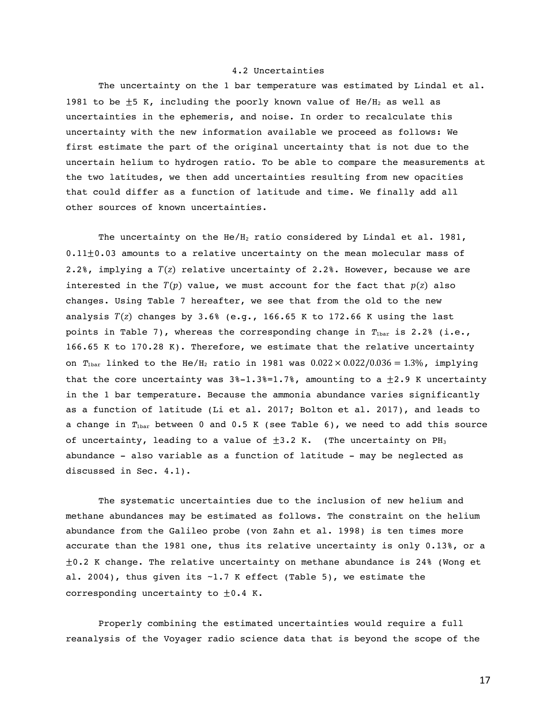# 4.2 Uncertainties

The uncertainty on the 1 bar temperature was estimated by Lindal et al. 1981 to be  $\pm$ 5 K, including the poorly known value of He/H<sub>2</sub> as well as uncertainties in the ephemeris, and noise. In order to recalculate this uncertainty with the new information available we proceed as follows: We first estimate the part of the original uncertainty that is not due to the uncertain helium to hydrogen ratio. To be able to compare the measurements at the two latitudes, we then add uncertainties resulting from new opacities that could differ as a function of latitude and time. We finally add all other sources of known uncertainties.

The uncertainty on the He/H<sub>2</sub> ratio considered by Lindal et al. 1981, 0.11±0.03 amounts to a relative uncertainty on the mean molecular mass of 2.2%, implying a  $T(z)$  relative uncertainty of 2.2%. However, because we are interested in the  $T(p)$  value, we must account for the fact that  $p(z)$  also changes. Using Table 7 hereafter, we see that from the old to the new analysis  $T(z)$  changes by 3.6% (e.g., 166.65 K to 172.66 K using the last points in Table 7), whereas the corresponding change in  $T_{\text{bar}}$  is 2.2% (i.e., 166.65 K to 170.28 K). Therefore, we estimate that the relative uncertainty on  $T_{\text{1bar}}$  linked to the He/H<sub>2</sub> ratio in 1981 was  $0.022 \times 0.022/0.036 = 1.3\%$ , implying that the core uncertainty was  $3\text{*-}1.3\text{*-}1.7\text{*}$ , amounting to a  $\pm 2.9$  K uncertainty in the 1 bar temperature. Because the ammonia abundance varies significantly as a function of latitude (Li et al. 2017; Bolton et al. 2017), and leads to a change in  $T_{\text{1bar}}$  between 0 and 0.5 K (see Table 6), we need to add this source of uncertainty, leading to a value of  $\pm 3.2$  K. (The uncertainty on PH<sub>3</sub> abundance - also variable as a function of latitude - may be neglected as discussed in Sec. 4.1).

The systematic uncertainties due to the inclusion of new helium and methane abundances may be estimated as follows. The constraint on the helium abundance from the Galileo probe (von Zahn et al. 1998) is ten times more accurate than the 1981 one, thus its relative uncertainty is only 0.13%, or a  $\pm$ 0.2 K change. The relative uncertainty on methane abundance is 24% (Wong et al. 2004), thus given its  $\sim$  1.7 K effect (Table 5), we estimate the corresponding uncertainty to  $\pm 0.4$  K.

Properly combining the estimated uncertainties would require a full reanalysis of the Voyager radio science data that is beyond the scope of the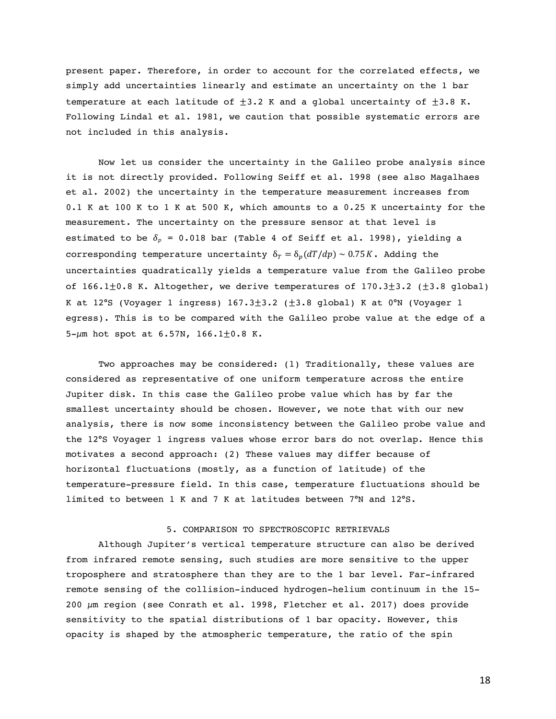present paper. Therefore, in order to account for the correlated effects, we simply add uncertainties linearly and estimate an uncertainty on the 1 bar temperature at each latitude of  $\pm 3.2$  K and a global uncertainty of  $\pm 3.8$  K. Following Lindal et al. 1981, we caution that possible systematic errors are not included in this analysis.

Now let us consider the uncertainty in the Galileo probe analysis since it is not directly provided. Following Seiff et al. 1998 (see also Magalhaes et al. 2002) the uncertainty in the temperature measurement increases from 0.1 K at 100 K to 1 K at 500 K, which amounts to a 0.25 K uncertainty for the measurement. The uncertainty on the pressure sensor at that level is estimated to be  $\delta_p$  = 0.018 bar (Table 4 of Seiff et al. 1998), yielding a corresponding temperature uncertainty  $\delta_T = \delta_p(dT/dp) \sim 0.75K$ . Adding the uncertainties quadratically yields a temperature value from the Galileo probe of 166.1 $\pm$ 0.8 K. Altogether, we derive temperatures of 170.3 $\pm$ 3.2 ( $\pm$ 3.8 global) K at 12°S (Voyager 1 ingress)  $167.3 \pm 3.2$  ( $\pm 3.8$  global) K at 0°N (Voyager 1 egress). This is to be compared with the Galileo probe value at the edge of a 5- $\mu$ m hot spot at 6.57N, 166.1 $\pm$ 0.8 K.

Two approaches may be considered: (1) Traditionally, these values are considered as representative of one uniform temperature across the entire Jupiter disk. In this case the Galileo probe value which has by far the smallest uncertainty should be chosen. However, we note that with our new analysis, there is now some inconsistency between the Galileo probe value and the 12°S Voyager 1 ingress values whose error bars do not overlap. Hence this motivates a second approach: (2) These values may differ because of horizontal fluctuations (mostly, as a function of latitude) of the temperature-pressure field. In this case, temperature fluctuations should be limited to between 1 K and 7 K at latitudes between 7°N and 12°S.

# 5. COMPARISON TO SPECTROSCOPIC RETRIEVALS

Although Jupiter's vertical temperature structure can also be derived from infrared remote sensing, such studies are more sensitive to the upper troposphere and stratosphere than they are to the 1 bar level. Far-infrared remote sensing of the collision-induced hydrogen-helium continuum in the 15- 200 µm region (see Conrath et al. 1998, Fletcher et al. 2017) does provide sensitivity to the spatial distributions of 1 bar opacity. However, this opacity is shaped by the atmospheric temperature, the ratio of the spin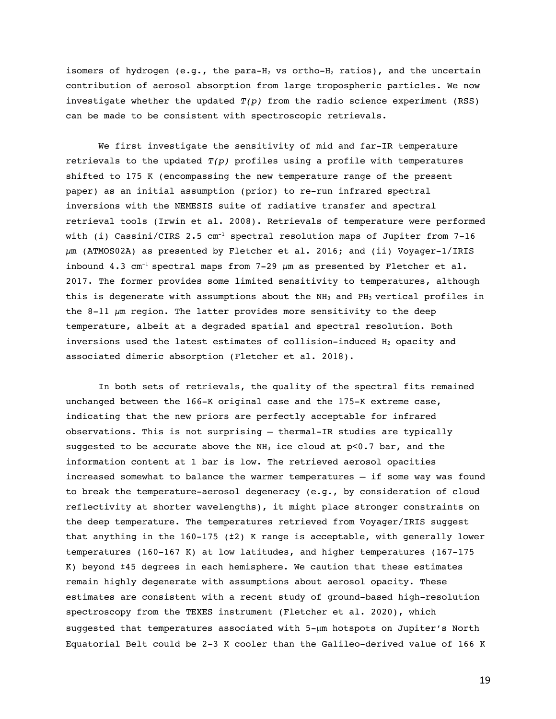isomers of hydrogen (e.g., the para- $H_2$  vs ortho- $H_2$  ratios), and the uncertain contribution of aerosol absorption from large tropospheric particles. We now investigate whether the updated *T(p)* from the radio science experiment (RSS) can be made to be consistent with spectroscopic retrievals.

We first investigate the sensitivity of mid and far-IR temperature retrievals to the updated *T(p)* profiles using a profile with temperatures shifted to 175 K (encompassing the new temperature range of the present paper) as an initial assumption (prior) to re-run infrared spectral inversions with the NEMESIS suite of radiative transfer and spectral retrieval tools (Irwin et al. 2008). Retrievals of temperature were performed with (i) Cassini/CIRS 2.5  $cm^{-1}$  spectral resolution maps of Jupiter from 7-16  $\mu$ m (ATMOS02A) as presented by Fletcher et al. 2016; and (ii) Voyager-1/IRIS inbound 4.3 cm<sup>-1</sup> spectral maps from 7-29  $\mu$ m as presented by Fletcher et al. 2017. The former provides some limited sensitivity to temperatures, although this is degenerate with assumptions about the  $NH<sub>3</sub>$  and  $PH<sub>3</sub>$  vertical profiles in the 8-11  $\mu$ m region. The latter provides more sensitivity to the deep temperature, albeit at a degraded spatial and spectral resolution. Both inversions used the latest estimates of collision-induced  $H_2$  opacity and associated dimeric absorption (Fletcher et al. 2018).

In both sets of retrievals, the quality of the spectral fits remained unchanged between the 166-K original case and the 175-K extreme case, indicating that the new priors are perfectly acceptable for infrared observations. This is not surprising – thermal-IR studies are typically suggested to be accurate above the  $NH<sub>3</sub>$  ice cloud at  $p<0.7$  bar, and the information content at 1 bar is low. The retrieved aerosol opacities increased somewhat to balance the warmer temperatures – if some way was found to break the temperature-aerosol degeneracy (e.g., by consideration of cloud reflectivity at shorter wavelengths), it might place stronger constraints on the deep temperature. The temperatures retrieved from Voyager/IRIS suggest that anything in the  $160-175$  ( $\pm 2$ ) K range is acceptable, with generally lower temperatures (160-167 K) at low latitudes, and higher temperatures (167-175 K) beyond ±45 degrees in each hemisphere. We caution that these estimates remain highly degenerate with assumptions about aerosol opacity. These estimates are consistent with a recent study of ground-based high-resolution spectroscopy from the TEXES instrument (Fletcher et al. 2020), which suggested that temperatures associated with 5-µm hotspots on Jupiter's North Equatorial Belt could be 2-3 K cooler than the Galileo-derived value of 166 K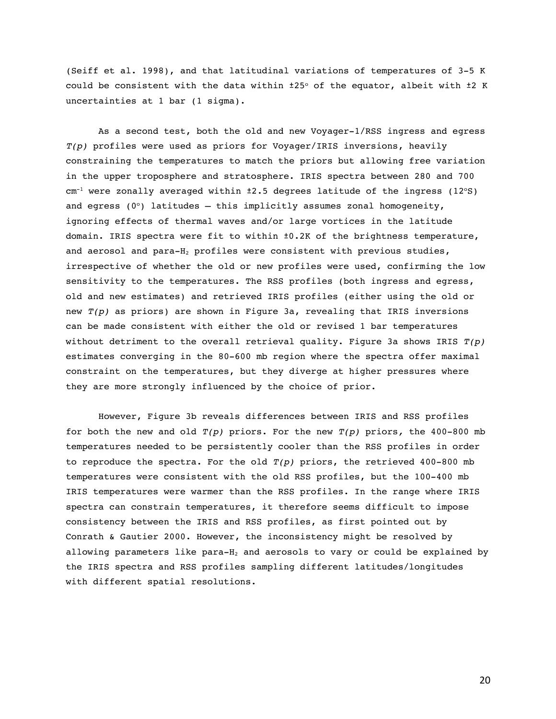(Seiff et al. 1998), and that latitudinal variations of temperatures of 3-5 K could be consistent with the data within  $\pm 25^\circ$  of the equator, albeit with  $\pm 2$  K uncertainties at 1 bar (1 sigma).

As a second test, both the old and new Voyager-1/RSS ingress and egress *T(p)* profiles were used as priors for Voyager/IRIS inversions, heavily constraining the temperatures to match the priors but allowing free variation in the upper troposphere and stratosphere. IRIS spectra between 280 and 700  $cm^{-1}$  were zonally averaged within  $\pm 2.5$  degrees latitude of the ingress (12°S) and egress ( $0^{\circ}$ ) latitudes – this implicitly assumes zonal homogeneity, ignoring effects of thermal waves and/or large vortices in the latitude domain. IRIS spectra were fit to within ±0.2K of the brightness temperature, and aerosol and para- $H_2$  profiles were consistent with previous studies, irrespective of whether the old or new profiles were used, confirming the low sensitivity to the temperatures. The RSS profiles (both ingress and egress, old and new estimates) and retrieved IRIS profiles (either using the old or new *T(p)* as priors) are shown in Figure 3a, revealing that IRIS inversions can be made consistent with either the old or revised 1 bar temperatures without detriment to the overall retrieval quality. Figure 3a shows IRIS *T(p)* estimates converging in the 80-600 mb region where the spectra offer maximal constraint on the temperatures, but they diverge at higher pressures where they are more strongly influenced by the choice of prior.

However, Figure 3b reveals differences between IRIS and RSS profiles for both the new and old *T(p)* priors. For the new *T(p)* priors*,* the 400-800 mb temperatures needed to be persistently cooler than the RSS profiles in order to reproduce the spectra. For the old  $T(p)$  priors, the retrieved  $400-800$  mb temperatures were consistent with the old RSS profiles, but the 100-400 mb IRIS temperatures were warmer than the RSS profiles. In the range where IRIS spectra can constrain temperatures, it therefore seems difficult to impose consistency between the IRIS and RSS profiles, as first pointed out by Conrath & Gautier 2000. However, the inconsistency might be resolved by allowing parameters like para- $H_2$  and aerosols to vary or could be explained by the IRIS spectra and RSS profiles sampling different latitudes/longitudes with different spatial resolutions.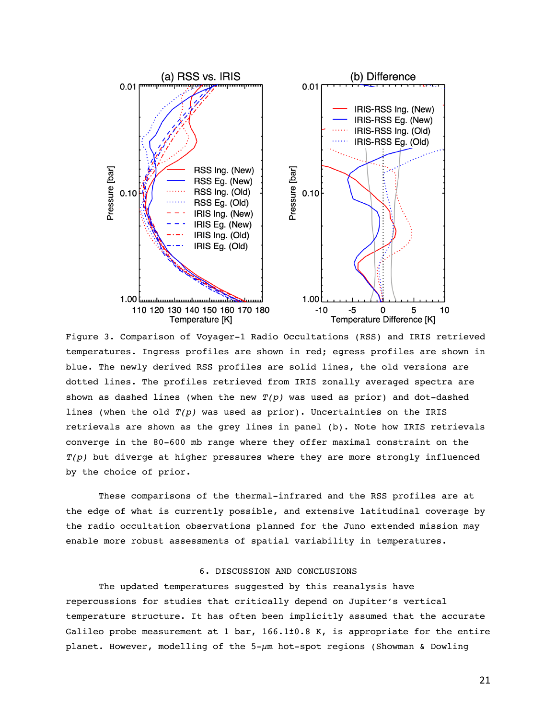

Figure 3. Comparison of Voyager-1 Radio Occultations (RSS) and IRIS retrieved temperatures. Ingress profiles are shown in red; egress profiles are shown in blue. The newly derived RSS profiles are solid lines, the old versions are dotted lines. The profiles retrieved from IRIS zonally averaged spectra are shown as dashed lines (when the new *T(p)* was used as prior) and dot-dashed lines (when the old  $T(p)$  was used as prior). Uncertainties on the IRIS retrievals are shown as the grey lines in panel (b). Note how IRIS retrievals converge in the 80-600 mb range where they offer maximal constraint on the *T(p)* but diverge at higher pressures where they are more strongly influenced by the choice of prior.

These comparisons of the thermal-infrared and the RSS profiles are at the edge of what is currently possible, and extensive latitudinal coverage by the radio occultation observations planned for the Juno extended mission may enable more robust assessments of spatial variability in temperatures.

#### 6. DISCUSSION AND CONCLUSIONS

The updated temperatures suggested by this reanalysis have repercussions for studies that critically depend on Jupiter's vertical temperature structure. It has often been implicitly assumed that the accurate Galileo probe measurement at 1 bar, 166.1±0.8 K, is appropriate for the entire planet. However, modelling of the 5-µm hot-spot regions (Showman & Dowling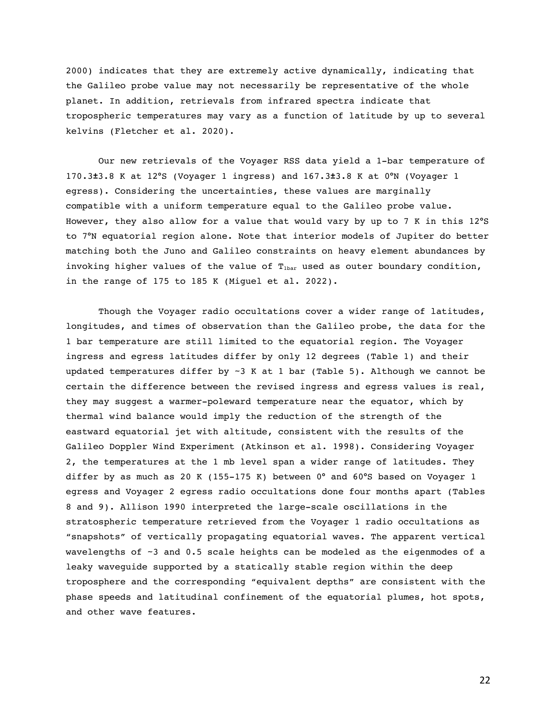2000) indicates that they are extremely active dynamically, indicating that the Galileo probe value may not necessarily be representative of the whole planet. In addition, retrievals from infrared spectra indicate that tropospheric temperatures may vary as a function of latitude by up to several kelvins (Fletcher et al. 2020).

Our new retrievals of the Voyager RSS data yield a 1-bar temperature of 170.3**±**3.8 K at 12°S (Voyager 1 ingress) and 167.3**±**3.8 K at 0°N (Voyager 1 egress). Considering the uncertainties, these values are marginally compatible with a uniform temperature equal to the Galileo probe value. However, they also allow for a value that would vary by up to 7 K in this 12°S to 7°N equatorial region alone. Note that interior models of Jupiter do better matching both the Juno and Galileo constraints on heavy element abundances by invoking higher values of the value of  $T<sub>1bar</sub>$  used as outer boundary condition, in the range of 175 to 185 K (Miguel et al. 2022).

Though the Voyager radio occultations cover a wider range of latitudes, longitudes, and times of observation than the Galileo probe, the data for the 1 bar temperature are still limited to the equatorial region. The Voyager ingress and egress latitudes differ by only 12 degrees (Table 1) and their updated temperatures differ by ~3 K at 1 bar (Table 5). Although we cannot be certain the difference between the revised ingress and egress values is real, they may suggest a warmer-poleward temperature near the equator, which by thermal wind balance would imply the reduction of the strength of the eastward equatorial jet with altitude, consistent with the results of the Galileo Doppler Wind Experiment (Atkinson et al. 1998). Considering Voyager 2, the temperatures at the 1 mb level span a wider range of latitudes. They differ by as much as 20 K (155-175 K) between  $0^{\circ}$  and  $60^{\circ}$ S based on Voyager 1 egress and Voyager 2 egress radio occultations done four months apart (Tables 8 and 9). Allison 1990 interpreted the large-scale oscillations in the stratospheric temperature retrieved from the Voyager 1 radio occultations as "snapshots" of vertically propagating equatorial waves. The apparent vertical wavelengths of ~3 and 0.5 scale heights can be modeled as the eigenmodes of a leaky waveguide supported by a statically stable region within the deep troposphere and the corresponding "equivalent depths" are consistent with the phase speeds and latitudinal confinement of the equatorial plumes, hot spots, and other wave features.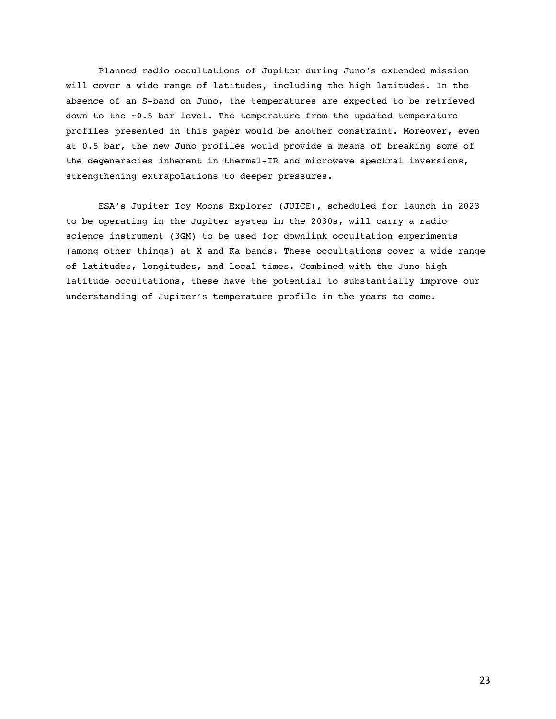Planned radio occultations of Jupiter during Juno's extended mission will cover a wide range of latitudes, including the high latitudes. In the absence of an S-band on Juno, the temperatures are expected to be retrieved down to the ~0.5 bar level. The temperature from the updated temperature profiles presented in this paper would be another constraint. Moreover, even at 0.5 bar, the new Juno profiles would provide a means of breaking some of the degeneracies inherent in thermal-IR and microwave spectral inversions, strengthening extrapolations to deeper pressures.

ESA's Jupiter Icy Moons Explorer (JUICE), scheduled for launch in 2023 to be operating in the Jupiter system in the 2030s, will carry a radio science instrument (3GM) to be used for downlink occultation experiments (among other things) at X and Ka bands. These occultations cover a wide range of latitudes, longitudes, and local times. Combined with the Juno high latitude occultations, these have the potential to substantially improve our understanding of Jupiter's temperature profile in the years to come.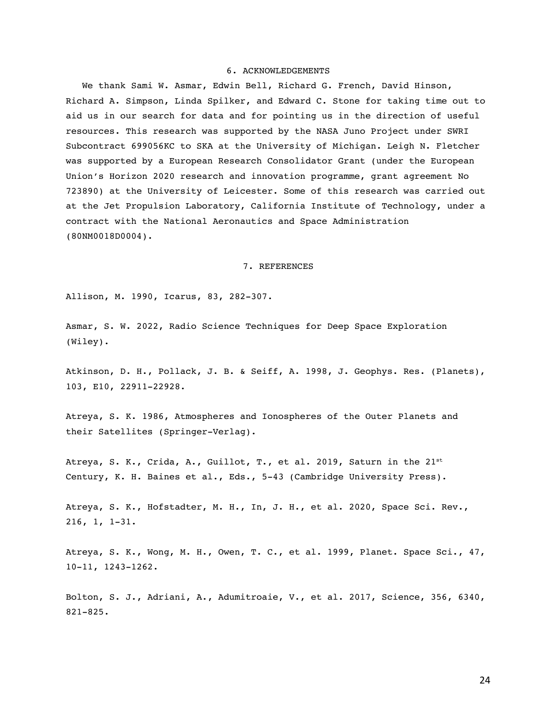#### 6. ACKNOWLEDGEMENTS

We thank Sami W. Asmar, Edwin Bell, Richard G. French, David Hinson, Richard A. Simpson, Linda Spilker, and Edward C. Stone for taking time out to aid us in our search for data and for pointing us in the direction of useful resources. This research was supported by the NASA Juno Project under SWRI Subcontract 699056KC to SKA at the University of Michigan. Leigh N. Fletcher was supported by a European Research Consolidator Grant (under the European Union's Horizon 2020 research and innovation programme, grant agreement No 723890) at the University of Leicester. Some of this research was carried out at the Jet Propulsion Laboratory, California Institute of Technology, under a contract with the National Aeronautics and Space Administration (80NM0018D0004).

#### 7. REFERENCES

Allison, M. 1990, Icarus, 83, 282-307.

Asmar, S. W. 2022, Radio Science Techniques for Deep Space Exploration (Wiley).

Atkinson, D. H., Pollack, J. B. & Seiff, A. 1998, J. Geophys. Res. (Planets), 103, E10, 22911-22928.

Atreya, S. K. 1986, Atmospheres and Ionospheres of the Outer Planets and their Satellites (Springer-Verlag).

Atreya, S. K., Crida, A., Guillot, T., et al. 2019, Saturn in the  $21^{st}$ Century, K. H. Baines et al., Eds., 5-43 (Cambridge University Press).

Atreya, S. K., Hofstadter, M. H., In, J. H., et al. 2020, Space Sci. Rev., 216, 1, 1-31.

Atreya, S. K., Wong, M. H., Owen, T. C., et al. 1999, Planet. Space Sci., 47, 10-11, 1243-1262.

Bolton, S. J., Adriani, A., Adumitroaie, V., et al. 2017, Science, 356, 6340, 821-825.

24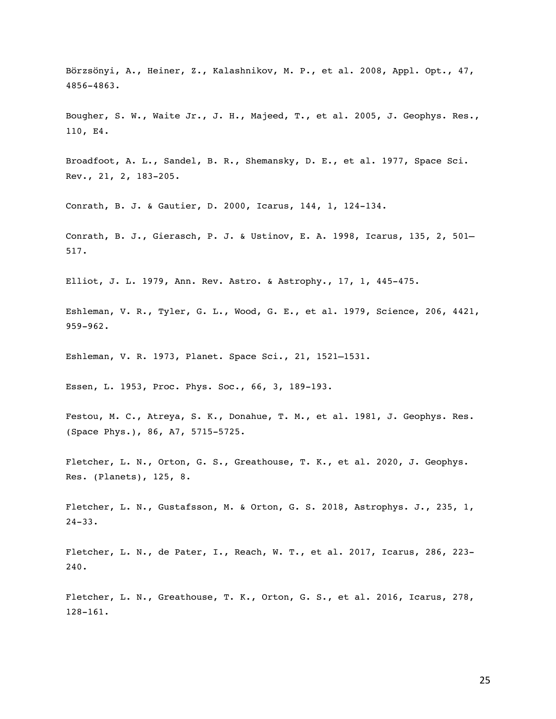Börzsönyi, A., Heiner, Z., Kalashnikov, M. P., et al. 2008, Appl. Opt., 47, 4856-4863.

Bougher, S. W., Waite Jr., J. H., Majeed, T., et al. 2005, J. Geophys. Res., 110, E4.

Broadfoot, A. L., Sandel, B. R., Shemansky, D. E., et al. 1977, Space Sci. Rev., 21, 2, 183-205.

Conrath, B. J. & Gautier, D. 2000, Icarus, 144, 1, 124-134.

Conrath, B. J., Gierasch, P. J. & Ustinov, E. A. 1998, Icarus, 135, 2, 501– 517.

Elliot, J. L. 1979, Ann. Rev. Astro. & Astrophy., 17, 1, 445-475.

Eshleman, V. R., Tyler, G. L., Wood, G. E., et al. 1979, Science, 206, 4421, 959-962.

Eshleman, V. R. 1973, Planet. Space Sci., 21, 1521–1531.

Essen, L. 1953, Proc. Phys. Soc., 66, 3, 189-193.

Festou, M. C., Atreya, S. K., Donahue, T. M., et al. 1981, J. Geophys. Res. (Space Phys.), 86, A7, 5715-5725.

Fletcher, L. N., Orton, G. S., Greathouse, T. K., et al. 2020, J. Geophys. Res. (Planets), 125, 8.

Fletcher, L. N., Gustafsson, M. & Orton, G. S. 2018, Astrophys. J., 235, 1, 24-33.

Fletcher, L. N., de Pater, I., Reach, W. T., et al. 2017, Icarus, 286, 223- 240.

Fletcher, L. N., Greathouse, T. K., Orton, G. S., et al. 2016, Icarus, 278, 128-161.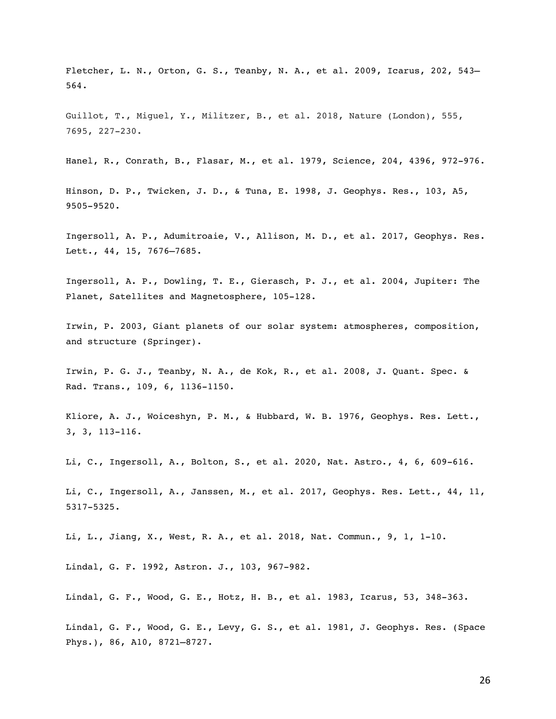Fletcher, L. N., Orton, G. S., Teanby, N. A., et al. 2009, Icarus, 202, 543-564.

Guillot, T., Miguel, Y., Militzer, B., et al. 2018, Nature (London), 555, 7695, 227-230.

Hanel, R., Conrath, B., Flasar, M., et al. 1979, Science, 204, 4396, 972-976.

Hinson, D. P., Twicken, J. D., & Tuna, E. 1998, J. Geophys. Res., 103, A5, 9505-9520.

Ingersoll, A. P., Adumitroaie, V., Allison, M. D., et al. 2017, Geophys. Res. Lett., 44, 15, 7676–7685.

Ingersoll, A. P., Dowling, T. E., Gierasch, P. J., et al. 2004, Jupiter: The Planet, Satellites and Magnetosphere, 105-128.

Irwin, P. 2003, Giant planets of our solar system: atmospheres, composition, and structure (Springer).

Irwin, P. G. J., Teanby, N. A., de Kok, R., et al. 2008, J. Quant. Spec. & Rad. Trans., 109, 6, 1136-1150.

Kliore, A. J., Woiceshyn, P. M., & Hubbard, W. B. 1976, Geophys. Res. Lett., 3, 3, 113-116.

Li, C., Ingersoll, A., Bolton, S., et al. 2020, Nat. Astro., 4, 6, 609-616.

Li, C., Ingersoll, A., Janssen, M., et al. 2017, Geophys. Res. Lett., 44, 11, 5317-5325.

Li, L., Jiang, X., West, R. A., et al. 2018, Nat. Commun., 9, 1, 1-10.

Lindal, G. F. 1992, Astron. J., 103, 967-982.

Lindal, G. F., Wood, G. E., Hotz, H. B., et al. 1983, Icarus, 53, 348-363.

Lindal, G. F., Wood, G. E., Levy, G. S., et al. 1981, J. Geophys. Res. (Space Phys.), 86, A10, 8721–8727.

26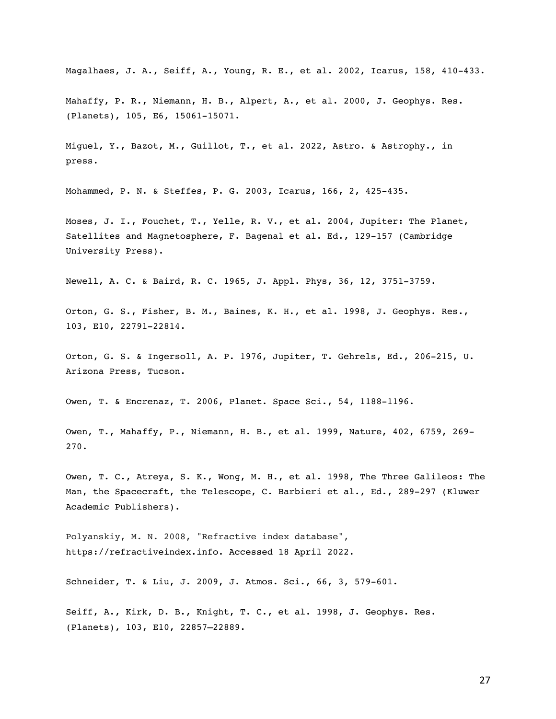Magalhaes, J. A., Seiff, A., Young, R. E., et al. 2002, Icarus, 158, 410-433.

Mahaffy, P. R., Niemann, H. B., Alpert, A., et al. 2000, J. Geophys. Res. (Planets), 105, E6, 15061-15071.

Miguel, Y., Bazot, M., Guillot, T., et al. 2022, Astro. & Astrophy., in press.

Mohammed, P. N. & Steffes, P. G. 2003, Icarus, 166, 2, 425-435.

Moses, J. I., Fouchet, T., Yelle, R. V., et al. 2004, Jupiter: The Planet, Satellites and Magnetosphere, F. Bagenal et al. Ed., 129-157 (Cambridge University Press).

Newell, A. C. & Baird, R. C. 1965, J. Appl. Phys, 36, 12, 3751-3759.

Orton, G. S., Fisher, B. M., Baines, K. H., et al. 1998, J. Geophys. Res., 103, E10, 22791-22814.

Orton, G. S. & Ingersoll, A. P. 1976, Jupiter, T. Gehrels, Ed., 206-215, U. Arizona Press, Tucson.

Owen, T. & Encrenaz, T. 2006, Planet. Space Sci., 54, 1188-1196.

Owen, T., Mahaffy, P., Niemann, H. B., et al. 1999, Nature, 402, 6759, 269- 270.

Owen, T. C., Atreya, S. K., Wong, M. H., et al. 1998, The Three Galileos: The Man, the Spacecraft, the Telescope, C. Barbieri et al., Ed., 289-297 (Kluwer Academic Publishers).

Polyanskiy, M. N. 2008, "Refractive index database", https://refractiveindex.info. Accessed 18 April 2022.

Schneider, T. & Liu, J. 2009, J. Atmos. Sci., 66, 3, 579-601.

Seiff, A., Kirk, D. B., Knight, T. C., et al. 1998, J. Geophys. Res. (Planets), 103, E10, 22857–22889.

27